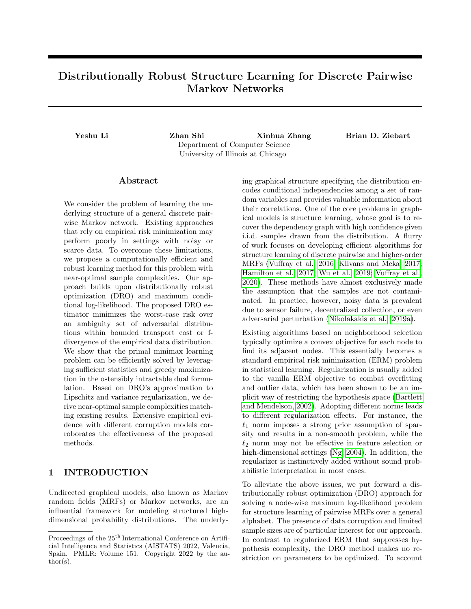# Distributionally Robust Structure Learning for Discrete Pairwise Markov Networks

Yeshu Li Zhan Shi Xinhua Zhang Brian D. Ziebart Department of Computer Science University of Illinois at Chicago

#### Abstract

We consider the problem of learning the underlying structure of a general discrete pairwise Markov network. Existing approaches that rely on empirical risk minimization may perform poorly in settings with noisy or scarce data. To overcome these limitations, we propose a computationally efficient and robust learning method for this problem with near-optimal sample complexities. Our approach builds upon distributionally robust optimization (DRO) and maximum conditional log-likelihood. The proposed DRO estimator minimizes the worst-case risk over an ambiguity set of adversarial distributions within bounded transport cost or fdivergence of the empirical data distribution. We show that the primal minimax learning problem can be efficiently solved by leveraging sufficient statistics and greedy maximization in the ostensibly intractable dual formulation. Based on DRO's approximation to Lipschitz and variance regularization, we derive near-optimal sample complexities matching existing results. Extensive empirical evidence with different corruption models corroborates the effectiveness of the proposed methods.

# 1 INTRODUCTION

Undirected graphical models, also known as Markov random fields (MRFs) or Markov networks, are an influential framework for modeling structured highdimensional probability distributions. The underlying graphical structure specifying the distribution encodes conditional independencies among a set of random variables and provides valuable information about their correlations. One of the core problems in graphical models is structure learning, whose goal is to recover the dependency graph with high confidence given i.i.d. samples drawn from the distribution. A flurry of work focuses on developing efficient algorithms for structure learning of discrete pairwise and higher-order MRFs [\(Vuffray et al., 2016;](#page-10-0) [Klivans and Meka, 2017;](#page-9-0) [Hamilton et al., 2017;](#page-9-1) [Wu et al., 2019;](#page-10-1) [Vuffray et al.,](#page-10-2) [2020\)](#page-10-2). These methods have almost exclusively made the assumption that the samples are not contaminated. In practice, however, noisy data is prevalent due to sensor failure, decentralized collection, or even adversarial perturbation [\(Nikolakakis et al., 2019a\)](#page-10-3).

Existing algorithms based on neighborhood selection typically optimize a convex objective for each node to find its adjacent nodes. This essentially becomes a standard empirical risk minimization (ERM) problem in statistical learning. Regularization is usually added to the vanilla ERM objective to combat overfitting and outlier data, which has been shown to be an implicit way of restricting the hypothesis space [\(Bartlett](#page-8-0) [and Mendelson, 2002\)](#page-8-0). Adopting different norms leads to different regularization effects. For instance, the  $\ell_1$  norm imposes a strong prior assumption of sparsity and results in a non-smooth problem, while the  $\ell_2$  norm may not be effective in feature selection or high-dimensional settings [\(Ng, 2004\)](#page-9-2). In addition, the regularizer is instinctively added without sound probabilistic interpretation in most cases.

To alleviate the above issues, we put forward a distributionally robust optimization (DRO) approach for solving a node-wise maximum log-likelihood problem for structure learning of pairwise MRFs over a general alphabet. The presence of data corruption and limited sample sizes are of particular interest for our approach. In contrast to regularized ERM that suppresses hypothesis complexity, the DRO method makes no restriction on parameters to be optimized. To account

Proceedings of the  $25^{\text{th}}$  International Conference on Artificial Intelligence and Statistics (AISTATS) 2022, Valencia, Spain. PMLR: Volume 151. Copyright 2022 by the au- $\text{thor}(s)$ .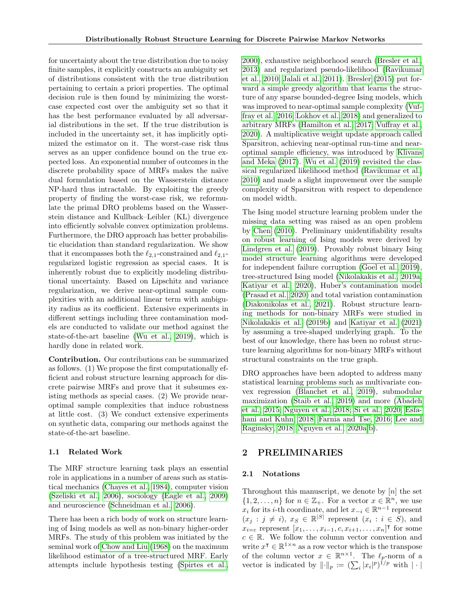for uncertainty about the true distribution due to noisy finite samples, it explicitly constructs an ambiguity set of distributions consistent with the true distribution pertaining to certain a priori properties. The optimal decision rule is then found by minimizing the worstcase expected cost over the ambiguity set so that it has the best performance evaluated by all adversarial distributions in the set. If the true distribution is included in the uncertainty set, it has implicitly optimized the estimator on it. The worst-case risk thus serves as an upper confidence bound on the true expected loss. An exponential number of outcomes in the discrete probability space of MRFs makes the naïve dual formulation based on the Wasserstein distance NP-hard thus intractable. By exploiting the greedy property of finding the worst-case risk, we reformulate the primal DRO problems based on the Wasserstein distance and Kullback–Leibler (KL) divergence into efficiently solvable convex optimization problems. Furthermore, the DRO approach has better probabilistic elucidation than standard regularization. We show that it encompasses both the  $\ell_{2,1}$ -constrained and  $\ell_{2,1}$ regularized logistic regression as special cases. It is inherently robust due to explicitly modeling distributional uncertainty. Based on Lipschitz and variance regularization, we derive near-optimal sample complexities with an additional linear term with ambiguity radius as its coefficient. Extensive experiments in different settings including three contamination models are conducted to validate our method against the state-of-the-art baseline [\(Wu et al., 2019\)](#page-10-1), which is hardly done in related work.

Contribution. Our contributions can be summarized as follows. (1) We propose the first computationally efficient and robust structure learning approach for discrete pairwise MRFs and prove that it subsumes existing methods as special cases. (2) We provide nearoptimal sample complexities that induce robustness at little cost. (3) We conduct extensive experiments on synthetic data, comparing our methods against the state-of-the-art baseline.

#### 1.1 Related Work

The MRF structure learning task plays an essential role in applications in a number of areas such as statistical mechanics [\(Chayes et al., 1984\)](#page-9-3), computer vision [\(Szeliski et al., 2006\)](#page-10-4), sociology [\(Eagle et al., 2009\)](#page-9-4) and neuroscience [\(Schneidman et al., 2006\)](#page-10-5).

There has been a rich body of work on structure learning of Ising models as well as non-binary higher-order MRFs. The study of this problem was initiated by the seminal work of [Chow and Liu](#page-9-5) [\(1968\)](#page-9-5) on the maximum likelihood estimator of a tree-structured MRF. Early attempts include hypothesis testing [\(Spirtes et al.,](#page-10-6)

[2000\)](#page-10-6), exhaustive neighborhood search [\(Bresler et al.,](#page-8-1) [2013\)](#page-8-1) and regularized pseudo-likelihood [\(Ravikumar](#page-10-7) [et al., 2010;](#page-10-7) [Jalali et al., 2011\)](#page-9-6). [Bresler](#page-8-2) [\(2015\)](#page-8-2) put forward a simple greedy algorithm that learns the structure of any sparse bounded-degree Ising models, which was improved to near-optimal sample complexity [\(Vuf](#page-10-0)[fray et al., 2016;](#page-10-0) [Lokhov et al., 2018\)](#page-9-7) and generalized to arbitrary MRFs [\(Hamilton et al., 2017;](#page-9-1) [Vuffray et al.,](#page-10-2) [2020\)](#page-10-2). A multiplicative weight update approach called Sparsitron, achieving near-optimal run-time and nearoptimal sample efficiency, was introduced by [Klivans](#page-9-0) [and Meka](#page-9-0) [\(2017\)](#page-9-0). [Wu et al.](#page-10-1) [\(2019\)](#page-10-1) revisited the classical regularized likelihood method [\(Ravikumar et al.,](#page-10-7) [2010\)](#page-10-7) and made a slight improvement over the sample complexity of Sparsitron with respect to dependence on model width.

The Ising model structure learning problem under the missing data setting was raised as an open problem by [Chen](#page-9-8) [\(2010\)](#page-9-8). Preliminary unidentifiability results on robust learning of Ising models were derived by [Lindgren et al.](#page-9-9) [\(2019\)](#page-9-9). Provably robust binary Ising model structure learning algorithms were developed for independent failure corruption [\(Goel et al., 2019\)](#page-9-10), tree-structured Ising model [\(Nikolakakis et al., 2019a;](#page-10-3) [Katiyar et al., 2020\)](#page-9-11), Huber's contamination model [\(Prasad et al., 2020\)](#page-10-8) and total variation contamination [\(Diakonikolas et al., 2021\)](#page-9-12). Robust structure learning methods for non-binary MRFs were studied in [Nikolakakis et al.](#page-10-9) [\(2019b\)](#page-10-9) and [Katiyar et al.](#page-9-13) [\(2021\)](#page-9-13) by assuming a tree-shaped underlying graph. To the best of our knowledge, there has been no robust structure learning algorithms for non-binary MRFs without structural constraints on the true graph.

DRO approaches have been adopted to address many statistical learning problems such as multivariate convex regression [\(Blanchet et al., 2019\)](#page-8-3), submodular maximization [\(Staib et al., 2019\)](#page-10-10) and more [\(Abadeh](#page-8-4) [et al., 2015;](#page-8-4) [Nguyen et al., 2018;](#page-10-11) [Si et al., 2020;](#page-10-12) [Esfa](#page-9-14)[hani and Kuhn, 2018;](#page-9-14) [Farnia and Tse, 2016;](#page-9-15) [Lee and](#page-9-16) [Raginsky, 2018;](#page-9-16) [Nguyen et al., 2020a,](#page-10-13)[b\)](#page-10-14).

## <span id="page-1-1"></span>2 PRELIMINARIES

#### <span id="page-1-0"></span>2.1 Notations

Throughout this manuscript, we denote by  $[n]$  the set  $\{1, 2, \ldots, n\}$  for  $n \in \mathbb{Z}_+$ . For a vector  $x \in \mathbb{R}^n$ , we use  $x_i$  for its *i*-th coordinate, and let  $x_{-i} \in \mathbb{R}^{n-1}$  represent  $(x_j : j \neq i)$ ,  $x_S \in \mathbb{R}^{|S|}$  represent  $(x_i : i \in S)$ , and  $x_{i=c}$  represent  $[x_1, \ldots, x_{i-1}, c, x_{i+1}, \ldots, x_n]$ <sup>†</sup> for some  $c \in \mathbb{R}$ . We follow the column vector convention and write  $x^{\dagger} \in \mathbb{R}^{1 \times n}$  as a row vector which is the transpose of the column vector  $x \in \mathbb{R}^{n \times 1}$ . The  $\ell_p$ -norm of a vector is indicated by  $\lVert \cdot \rVert_p := (\sum_i |x_i|^p)^{1/p}$  with  $|\cdot|$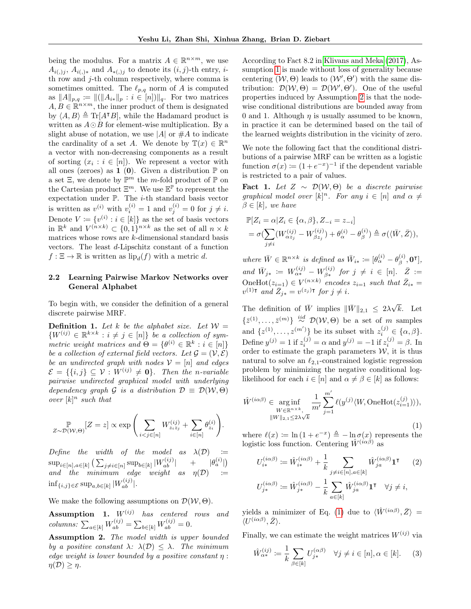being the modulus. For a matrix  $A \in \mathbb{R}^{n \times m}$ , we use  $A_{i(1)}j$ ,  $A_{i(2)}*$  and  $A_{i(1)}j$  to denote its  $(i, j)$ -th entry, *i*th row and  $j$ -th column respectively, where comma is sometimes omitted. The  $\ell_{p,q}$  norm of A is computed as  $||A||_{p,q} := ||(||A_{i*}||_p : i ∈ [n])||_q$ . For two matrices  $A, B \in \mathbb{R}^{n \times m}$ , the inner product of them is designated by  $\langle A, B \rangle \triangleq \text{Tr}[A^{\dagger}B]$ , while the Hadamard product is written as  $A \odot B$  for element-wise multiplication. By a slight abuse of notation, we use |A| or  $#A$  to indicate the cardinality of a set A. We denote by  $\mathbb{T}(x) \in \mathbb{R}^n$ a vector with non-decreasing components as a result of sorting  $(x_i : i \in [n])$ . We represent a vector with all ones (zeroes) as  $1(0)$ . Given a distribution  $\mathbb P$  on a set  $\Xi$ , we denote by  $\mathbb{P}^m$  the m-fold product of  $\mathbb P$  on the Cartesian product  $\Xi^m$ . We use  $\mathbb{E}^{\mathbb{P}}$  to represent the expectation under  $\mathbb{P}$ . The *i*-th standard basis vector is written as  $v^{(i)}$  with  $v_i^{(i)} = 1$  and  $v_j^{(i)} = 0$  for  $j \neq i$ . Denote  $V := \{v^{(i)} : i \in [k]\}$  as the set of basis vectors in  $\mathbb{R}^k$  and  $V^{(n \times k)} \subset \{0,1\}^{n \times k}$  as the set of all  $n \times k$ matrices whose rows are k-dimensional standard basis vectors. The least d-Lipschitz constant of a function  $f : \Xi \to \mathbb{R}$  is written as  $\text{lip}_d(f)$  with a metric d.

#### <span id="page-2-3"></span>2.2 Learning Pairwise Markov Networks over General Alphabet

To begin with, we consider the definition of a general discrete pairwise MRF.

**Definition 1.** Let k be the alphabet size. Let  $W =$  $\{W^{(ij)} \in \mathbb{R}^{k \times k} : i \neq j \in [n]\}$  be a collection of symmetric weight matrices and  $\Theta = \{ \theta^{(i)} \in \mathbb{R}^k : i \in [n] \}$ be a collection of external field vectors. Let  $\mathcal{G} = (\mathcal{V}, \mathcal{E})$ be an undirected graph with nodes  $V = [n]$  and edges  $\mathcal{E} = \{\{i, j\} \subseteq \mathcal{V} : W^{(ij)} \neq \mathbf{0}\}.$  Then the n-variable pairwise undirected graphical model with underlying dependency graph G is a distribution  $\mathcal{D} \equiv \mathcal{D}(\mathcal{W}, \Theta)$ over  $[k]^n$  such that

<span id="page-2-2"></span>
$$
\mathbb{P}_{Z \sim \mathcal{D}(\mathcal{W}, \Theta)}[Z = z] \propto \exp \left( \sum_{i < j \in [n]} W_{z_i z_j}^{(ij)} + \sum_{i \in [n]} \theta_{z_i}^{(i)} \right).
$$

Define the width of the model as  $\lambda(\mathcal{D})$  $\sup_{i\in [n],a\in [k]} \big(\sum_{j\neq i\in [n]} \sup_{b\in [k]} |W_{ab}^{(ij)}| \quad \ \, +\quad \ \ |\theta|$  $_{a}^{\left( i\right) }\left\vert \right)$ and the minimum edge weight as  $\eta(\mathcal{D})$  :=  $\inf_{\{i,j\}\in\mathcal{E}}\sup_{a,b\in[k]}|W_{ab}^{(ij)}|.$ 

We make the following assumptions on  $\mathcal{D}(\mathcal{W}, \Theta)$ .

<span id="page-2-0"></span>Assumption 1.  $W^{(ij)}$  has centered rows and columns:  $\sum_{a \in [k]} W_{ab}^{(ij)} = \sum_{b \in [k]} W_{ab}^{(ij)} = 0.$ 

<span id="page-2-1"></span>Assumption 2. The model width is upper bounded by a positive constant  $\lambda$ :  $\lambda(\mathcal{D}) < \lambda$ . The minimum edge weight is lower bounded by a positive constant  $\eta$ :  $\eta(\mathcal{D}) \geq \eta$ .

According to Fact 8.2 in [Klivans and Meka](#page-9-0) [\(2017\)](#page-9-0), Assumption [1](#page-2-0) is made without loss of generality because centering  $(W, \Theta)$  leads to  $(W', \Theta')$  with the same distribution:  $\mathcal{D}(\mathcal{W}, \Theta) = \mathcal{D}(\mathcal{W}', \Theta')$ . One of the useful properties induced by Assumption [2](#page-2-1) is that the nodewise conditional distributions are bounded away from 0 and 1. Although  $\eta$  is usually assumed to be known, in practice it can be determined based on the tail of the learned weights distribution in the vicinity of zero.

We note the following fact that the conditional distributions of a pairwise MRF can be written as a logistic function  $\sigma(x) := (1 + e^{-x})^{-1}$  if the dependent variable is restricted to a pair of values.

<span id="page-2-6"></span>Fact 1. Let  $Z \sim \mathcal{D}(\mathcal{W}, \Theta)$  be a discrete pairwise graphical model over  $[k]^n$ . For any  $i \in [n]$  and  $\alpha \neq$  $\beta \in [k]$ , we have

$$
\mathbb{P}[Z_i = \alpha | Z_i \in \{\alpha, \beta\}, Z_{-i} = z_{-i}]
$$
  
=  $\sigma(\sum_{j \neq i} (W_{\alpha z_j}^{(ij)} - W_{\beta z_j}^{(ij)}) + \theta_{\alpha}^{(i)} - \theta_{\beta}^{(i)}) \triangleq \sigma(\langle \bar{W}, \bar{Z} \rangle),$ 

where  $\bar{W} \in \mathbb{R}^{n \times k}$  is defined as  $\bar{W}_{i*} := [\theta_{\alpha}^{(i)} - \theta_{\beta}^{(i)}]$  $_{\beta}^{(i)},\mathbf{0}^{\intercal}],$ and  $\bar{W}_{j*} := W_{\alpha*}^{(ij)} - W_{\beta*}^{(ij)}$  $f^{(ij)}_{\beta *}$  for  $j \neq i \in [n]$ .  $\bar{Z} :=$ OneHot $(z_{i=1}) \in V^{(n \times k)}$  encodes  $z_{i=1}$  such that  $\bar{Z}_{i*}$  $v^{(1)}$ <sup>T</sup> and  $\overline{Z}_{j*} = v^{(z_j)}$ <sup>T</sup> for  $j \neq i$ .

The definition of  $\bar{W}$  implies  $\|\bar{W}\|_{2,1} \leq 2\lambda\sqrt{2}$ k. Let  $\{\bar{z}^{(1)},\ldots,\bar{z}^{(m)}\}\stackrel{iid}{\sim}\mathcal{D}(\mathcal{W},\Theta)$  be a set of m samples and  $\{z^{(1)}, \ldots, z^{(m')}\}\$ be its subset with  $z_i^{(j)} \in \{\alpha, \beta\}.$ Define  $y^{(j)} = 1$  if  $z_i^{(j)} = \alpha$  and  $y^{(j)} = -1$  if  $z_i^{(j)} = \beta$ . In order to estimate the graph parameters  $W$ , it is thus natural to solve an  $\ell_{2,1}$ -constrained logistic regression problem by minimizing the negative conditional loglikelihood for each  $i \in [n]$  and  $\alpha \neq \beta \in [k]$  as follows:

$$
\hat{W}^{(i\alpha\beta)} \in \underset{\substack{W \in \mathbb{R}^{n \times k}, \\ \|W\|_{2,1} \le 2\lambda\sqrt{k}}}{\arg\inf} \frac{1}{m'} \sum_{j=1}^{m'} \ell(y^{(j)} \langle W, \text{OneHot}(z_{i=1}^{(j)}) \rangle),\tag{1}
$$

where  $\ell(x) := \ln(1 + e^{-x}) \triangleq -\ln \sigma(x)$  represents the logistic loss function. Centering  $\hat{W}^{(i\alpha\beta)}$  as

<span id="page-2-4"></span>
$$
U_{i*}^{(i\alpha\beta)} := \hat{W}_{i*}^{(i\alpha\beta)} + \frac{1}{k} \sum_{j \neq i \in [n], a \in [k]} \hat{W}_{ja}^{(i\alpha\beta)} \mathbf{1}^{\mathsf{T}} \qquad (2)
$$
  

$$
U_{j*}^{(i\alpha\beta)} := \hat{W}_{j*}^{(i\alpha\beta)} - \frac{1}{k} \sum_{a \in [k]} \hat{W}_{ja}^{(i\alpha\beta)} \mathbf{1}^{\mathsf{T}} \quad \forall j \neq i,
$$

yields a minimizer of Eq. [\(1\)](#page-2-2) due to  $\langle \hat{W}^{(i\alpha\beta)}, \bar{Z} \rangle =$  $\langle U^{(i\alpha\beta)}, \bar{Z} \rangle.$ 

Finally, we can estimate the weight matrices  $W^{(ij)}$  via

<span id="page-2-5"></span>
$$
\hat{W}_{\alpha}^{(ij)} := \frac{1}{k} \sum_{\beta \in [k]} U_{j*}^{(\alpha \beta)} \quad \forall j \neq i \in [n], \alpha \in [k]. \tag{3}
$$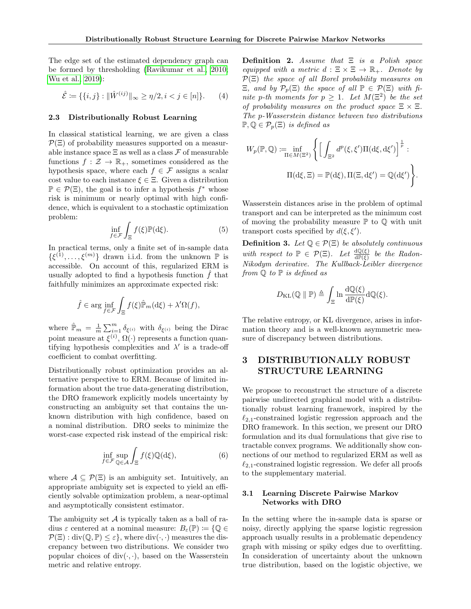The edge set of the estimated dependency graph can be formed by thresholding [\(Ravikumar et al., 2010;](#page-10-7) [Wu et al., 2019\)](#page-10-1):

<span id="page-3-2"></span>
$$
\hat{\mathcal{E}} \coloneqq \{ \{i, j\} : \|\hat{W}^{(ij)}\|_{\infty} \ge \eta/2, i < j \in [n] \}.
$$
 (4)

#### 2.3 Distributionally Robust Learning

In classical statistical learning, we are given a class  $P(\Xi)$  of probability measures supported on a measurable instance space  $\Xi$  as well as a class  $\mathcal F$  of measurable functions  $f : \mathcal{Z} \to \mathbb{R}_+$ , sometimes considered as the hypothesis space, where each  $f \in \mathcal{F}$  assigns a scalar cost value to each instance  $\xi \in \Xi$ . Given a distribution  $\mathbb{P} \in \mathcal{P}(\Xi)$ , the goal is to infer a hypothesis  $f^*$  whose risk is minimum or nearly optimal with high confidence, which is equivalent to a stochastic optimization problem:

<span id="page-3-1"></span>
$$
\inf_{f \in \mathcal{F}} \int_{\Xi} f(\xi) \mathbb{P}(\mathrm{d}\xi). \tag{5}
$$

In practical terms, only a finite set of in-sample data  $\{\xi^{(1)}, \ldots, \xi^{(m)}\}$  drawn i.i.d. from the unknown  $\mathbb P$  is accessible. On account of this, regularized ERM is usually adopted to find a hypothesis function  $\hat{f}$  that faithfully minimizes an approximate expected risk:

<span id="page-3-0"></span>
$$
\hat{f} \in \arg\inf_{f \in \mathcal{F}} \int_{\Xi} f(\xi) \hat{\mathbb{P}}_m(\mathrm{d}\xi) + \lambda' \Omega(f),
$$

where  $\hat{\mathbb{P}}_m = \frac{1}{m} \sum_{i=1}^m \delta_{\xi^{(i)}}$  with  $\delta_{\xi^{(i)}}$  being the Dirac point measure at  $\xi^{(i)}$ ,  $\Omega(\cdot)$  represents a function quantifying hypothesis complexities and  $\lambda'$  is a trade-off coefficient to combat overfitting.

Distributionally robust optimization provides an alternative perspective to ERM. Because of limited information about the true data-generating distribution, the DRO framework explicitly models uncertainty by constructing an ambiguity set that contains the unknown distribution with high confidence, based on a nominal distribution. DRO seeks to minimize the worst-case expected risk instead of the empirical risk:

$$
\inf_{f \in \mathcal{F}} \sup_{\mathbb{Q} \in \mathcal{A}} \int_{\Xi} f(\xi) \mathbb{Q}(\mathrm{d}\xi),\tag{6}
$$

where  $A \subseteq \mathcal{P}(\Xi)$  is an ambiguity set. Intuitively, an appropriate ambiguity set is expected to yield an efficiently solvable optimization problem, a near-optimal and asymptotically consistent estimator.

The ambiguity set  $A$  is typically taken as a ball of radius  $\varepsilon$  centered at a nominal measure:  $B_{\varepsilon}(\mathbb{P}) := \{ \mathbb{Q} \in$  $\mathcal{P}(\Xi)$ : div $(\mathbb{Q}, \mathbb{P}) \leq \varepsilon$ , where div $(\cdot, \cdot)$  measures the discrepancy between two distributions. We consider two popular choices of  $div(\cdot, \cdot)$ , based on the Wasserstein metric and relative entropy.

**Definition 2.** Assume that  $\Xi$  is a Polish space equipped with a metric  $d : \Xi \times \Xi \rightarrow \mathbb{R}_+$ . Denote by  $\mathcal{P}(\Xi)$  the space of all Borel probability measures on  $\Xi$ , and by  $\mathcal{P}_p(\Xi)$  the space of all  $\mathbb{P} \in \mathcal{P}(\Xi)$  with finite p-th moments for  $p \geq 1$ . Let  $M(\Xi^2)$  be the set of probability measures on the product space  $\Xi \times \Xi$ . The p-Wasserstein distance between two distributions  $\mathbb{P}, \mathbb{Q} \in \mathcal{P}_p(\Xi)$  is defined as

$$
W_p(\mathbb{P}, \mathbb{Q}) := \inf_{\Pi \in M(\Xi^2)} \left\{ \left[ \int_{\Xi^2} d^p(\xi, \xi') \Pi(\mathrm{d}\xi, \mathrm{d}\xi') \right]^{\frac{1}{p}} : \Pi(\mathrm{d}\xi, \Xi) = \mathbb{P}(\mathrm{d}\xi), \Pi(\Xi, \mathrm{d}\xi') = \mathbb{Q}(\mathrm{d}\xi') \right\}.
$$

Wasserstein distances arise in the problem of optimal transport and can be interpreted as the minimum cost of moving the probability measure  $\mathbb P$  to  $\mathbb Q$  with unit transport costs specified by  $d(\xi, \xi')$ .

**Definition 3.** Let  $\mathbb{Q} \in \mathcal{P}(\Xi)$  be absolutely continuous with respect to  $\mathbb{P} \in \mathcal{P}(\Xi)$ . Let  $\frac{d\mathbb{Q}(\xi)}{d\mathbb{P}(\xi)}$  be the Radon-Nikodym derivative. The Kullback-Leibler divergence from  $\mathbb{Q}$  to  $\mathbb{P}$  is defined as

$$
D_{\mathrm{KL}}(\mathbb{Q} \parallel \mathbb{P}) \triangleq \int_{\Xi} \ln \frac{\mathrm{d}\mathbb{Q}(\xi)}{\mathrm{d}\mathbb{P}(\xi)} \mathrm{d}\mathbb{Q}(\xi).
$$

The relative entropy, or KL divergence, arises in information theory and is a well-known asymmetric measure of discrepancy between distributions.

# <span id="page-3-3"></span>3 DISTRIBUTIONALLY ROBUST STRUCTURE LEARNING

We propose to reconstruct the structure of a discrete pairwise undirected graphical model with a distributionally robust learning framework, inspired by the  $\ell_{2,1}$ -constrained logistic regression approach and the DRO framework. In this section, we present our DRO formulation and its dual formulations that give rise to tractable convex programs. We additionally show connections of our method to regularized ERM as well as  $\ell_{2,1}$ -constrained logistic regression. We defer all proofs to the supplementary material.

### 3.1 Learning Discrete Pairwise Markov Networks with DRO

In the setting where the in-sample data is sparse or noisy, directly applying the sparse logistic regression approach usually results in a problematic dependency graph with missing or spiky edges due to overfitting. In consideration of uncertainty about the unknown true distribution, based on the logistic objective, we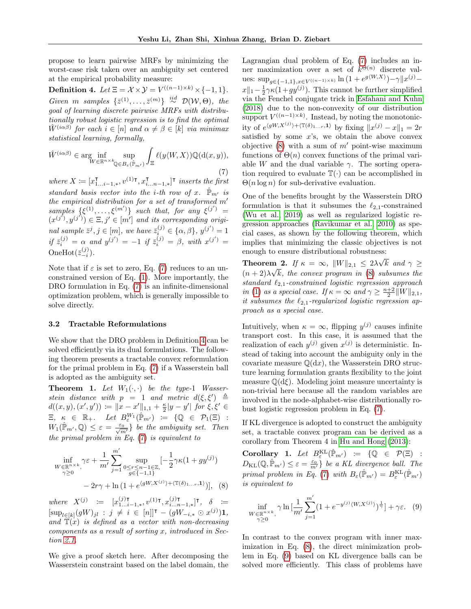propose to learn pairwise MRFs by minimizing the worst-case risk taken over an ambiguity set centered at the empirical probability measure:

<span id="page-4-1"></span>**Definition 4.** Let  $\Xi = \mathcal{X} \times \mathcal{Y} = V^{((n-1) \times k)} \times \{-1, 1\}.$ Given m samples  $\{\bar{z}^{(1)}, \ldots, \bar{z}^{(m)}\} \stackrel{iid}{\sim} \mathcal{D}(\mathcal{W}, \Theta)$ , the goal of learning discrete pairwise MRFs with distributionally robust logistic regression is to find the optimal  $\hat{W}^{(i\alpha\beta)}$  for each  $i \in [n]$  and  $\alpha \neq \beta \in [k]$  via minimax statistical learning, formally,

<span id="page-4-0"></span>
$$
\hat{W}^{(i\alpha\beta)} \in \underset{W \in \mathbb{R}^{n \times k} \mathbb{Q} \in B_{\varepsilon}(\hat{\mathbb{P}}_{m'})}{\text{sup}} \int_{\Xi} \ell(y \langle W, X \rangle) \mathbb{Q}(\mathrm{d}(x, y)),
$$

 $(7)$ where  $X \coloneqq [x]$ <sup>T</sup>  $_{1...i-1,*}^{\mathsf{T}},v^{(1)\mathsf{T}},x_{i}^{\mathsf{T}}$  $\prod_{i...n-1,*}$ <sup>†</sup> inserts the first standard basis vector into the *i*-th row of x.  $\hat{\mathbb{P}}_{m'}$  is the empirical distribution for a set of transformed m′ samples  $\{\xi^{(1)},\ldots,\xi^{(m')}\}\$  such that, for any  $\xi^{(j')}\ =\$  $(x^{(j')}, y^{(j')}) \in \Xi, j' \in [m']$  and its corresponding original sample  $\bar{z}^j, j \in [m]$ , we have  $\bar{z}_i^{(j)} \in \{\alpha, \beta\}, y^{(j')} = 1$ if  $\bar{z}_i^{(j)} = \alpha$  and  $y^{(j')} = -1$  if  $\bar{z}_i^{(j)} = \beta$ , with  $x^{(j')} =$ OneHot $(\bar{z}_{-i}^{(j)})$ .

Note that if  $\varepsilon$  is set to zero, Eq. [\(7\)](#page-4-0) reduces to an unconstrained version of Eq. [\(1\)](#page-2-2). More importantly, the DRO formulation in Eq. [\(7\)](#page-4-0) is an infinite-dimensional optimization problem, which is generally impossible to solve directly.

#### 3.2 Tractable Reformulations

We show that the DRO problem in Definition [4](#page-4-1) can be solved efficiently via its dual formulations. The following theorem presents a tractable convex reformulation for the primal problem in Eq. [\(7\)](#page-4-0) if a Wasserstein ball is adopted as the ambiguity set.

**Theorem 1.** Let  $W_1(\cdot, \cdot)$  be the type-1 Wasserstein distance with  $p = 1$  and metric  $d(\xi, \xi') \triangleq$  $d((x, y), (x', y')) \coloneqq \|x - x'\|_{1,1} + \frac{\kappa}{2}|y - y'|$  for  $\xi, \xi' \in$  $\Xi$ ,  $\kappa \in \mathbb{R}_+$ . Let  $B^{W_1}_\varepsilon(\hat{\mathbb{P}}_{m'}) \; := \; \{ \mathbb{Q} \; \in \; \mathcal{P}_1(\Xi) \; : \;$  $W_1(\hat{P}_{m'},\mathbb{Q}) \leq \varepsilon = \frac{\varepsilon_0}{\sqrt{m'}}\}$  be the ambiguity set. Then the primal problem in Eq. [\(7\)](#page-4-0) is equivalent to

$$
\inf_{\substack{W \in \mathbb{R}^{n \times k}, \\ \gamma \ge 0}} \gamma \varepsilon + \frac{1}{m'} \sum_{j=1}^{m'} \sup_{\substack{0 \le r \le n-1 \in \mathbb{Z}, \\ g \in \{-1, 1\}}} [-\frac{1}{2} \gamma \kappa (1 + gy^{(j)}) \n- 2r\gamma + \ln (1 + e^{\langle gW, X^{(j)} \rangle + \langle \mathbb{T}(\delta)_{1...r}, 1 \rangle})], \quad (8)
$$

 $where \ \ X^{(j)} \ \ := \ \ [\boldsymbol{x}_{1...i-1,*}^{(j)\intercal}, \boldsymbol{v}^{(1)\intercal}, \boldsymbol{x}_{i...n-1,*}^{(j)\intercal}]^{\intercal}, \ \ \delta \ \ := \nonumber$  $[\sup_{l \in [k]} (gW)_{jl} : j \neq i \in [n]]^{\mathsf{T}} - (gW_{-i,*} \odot x^{(j)}) \mathbf{1},$ and  $\mathbb{T}(x)$  is defined as a vector with non-decreasing components as a result of sorting x, introduced in Section [2.1.](#page-1-0)

We give a proof sketch here. After decomposing the Wasserstein constraint based on the label domain, the Lagrangian dual problem of Eq. [\(7\)](#page-4-0) includes an inner maximization over a set of  $k^{\Theta(n)}$  discrete values:  $\sup_{g \in \{-1,1\}, x \in V^{((n-1)\times k)}} \ln(1 + e^{g\langle W,X \rangle}) - \gamma ||x^{(j)} ||x||_1 - \frac{1}{2}\gamma \kappa (1 + gy^{(j)})$ . This cannot be further simplified via the Fenchel conjugate trick in [Esfahani and Kuhn](#page-9-14) [\(2018\)](#page-9-14) due to the non-convexity of our distribution support  $V^{((n-1)\times k)}$ . Instead, by noting the monotonicity of  $e^{\langle gW, X^{(j)}\rangle + \langle \mathbb{T}(\delta)_{1...r}, 1\rangle}$  by fixing  $||x^{(j)} - x||_1 = 2r$ satisfied by some  $x$ 's, we obtain the above convex objective  $(8)$  with a sum of m' point-wise maximum functions of  $\Theta(n)$  convex functions of the primal variable W and the dual variable  $\gamma$ . The sorting operation required to evaluate  $\mathbb{T}(\cdot)$  can be accomplished in  $\Theta(n \log n)$  for sub-derivative evaluation.

One of the benefits brought by the Wasserstein DRO formulation is that it subsumes the  $\ell_{2,1}$ -constrained [\(Wu et al., 2019\)](#page-10-1) as well as regularized logistic regression approaches [\(Ravikumar et al., 2010\)](#page-10-7) as special cases, as shown by the following theorem, which implies that minimizing the classic objectives is not enough to ensure distributional robustness: √

**Theorem 2.** If  $\kappa = \infty$ ,  $||W||_{2,1} \leq 2\lambda$  $\lim_{\epsilon \to 0} 2.$  If  $\kappa = \infty$ ,  $||W||_{2,1} \leq 2\lambda \sqrt{k}$  and  $\gamma \geq$  $(n+2)\lambda\sqrt{k}$ , the convex program in [\(8\)](#page-4-2) subsumes the standard  $\ell_{2,1}$ -constrained logistic regression approach in [\(1\)](#page-2-2) as a special case. If  $\kappa = \infty$  and  $\gamma \geq \frac{n+2}{2} ||W||_{2,1}$ , it subsumes the  $\ell_{2,1}$ -regularized logistic regression approach as a special case.

Intuitively, when  $\kappa = \infty$ , flipping  $y^{(j)}$  causes infinite transport cost. In this case, it is assumed that the realization of each  $y^{(j)}$  given  $x^{(j)}$  is deterministic. Instead of taking into account the ambiguity only in the covariate measure  $\mathbb{Q}(dx)$ , the Wasserstein DRO structure learning formulation grants flexibility to the joint measure  $\mathbb{Q}(d\xi)$ . Modeling joint measure uncertainty is non-trivial here because all the random variables are involved in the node-alphabet-wise distributionally robust logistic regression problem in Eq. [\(7\)](#page-4-0).

If KL divergence is adopted to construct the ambiguity set, a tractable convex program can be derived as a corollary from Theorem 4 in [Hu and Hong](#page-9-17) [\(2013\)](#page-9-17):

Corollary 1. Let  $B^{\text{KL}}_{\varepsilon}(\hat{\mathbb{P}}_{m'}) = \{ \mathbb{Q} \in \mathcal{P}(\Xi)$ :  $D_{\text{KL}}(\mathbb{Q}, \hat{\mathbb{P}}_{m'}) \leq \varepsilon = \frac{\varepsilon_0}{m'}\}$  be a KL divergence ball. The primal problem in Eq. [\(7\)](#page-4-0) with  $B_{\varepsilon}(\hat{\mathbb{P}}_{m'}) = B_{\varepsilon}^{\text{KL}}(\hat{\mathbb{P}}_{m'})$ is equivalent to

<span id="page-4-3"></span><span id="page-4-2"></span>
$$
\inf_{\substack{W \in \mathbb{R}^{n \times k}, \\ \gamma \ge 0}} \gamma \ln \left[ \frac{1}{m'} \sum_{j=1}^{m'} \left( 1 + e^{-y^{(j)} \langle W, X^{(j)} \rangle} \right)^{\frac{1}{\gamma}} \right] + \gamma \varepsilon. \tag{9}
$$

In contrast to the convex program with inner maximization in Eq. [\(8\)](#page-4-2), the direct minimization problem in Eq. [\(9\)](#page-4-3) based on KL divergence balls can be solved more efficiently. This class of problems have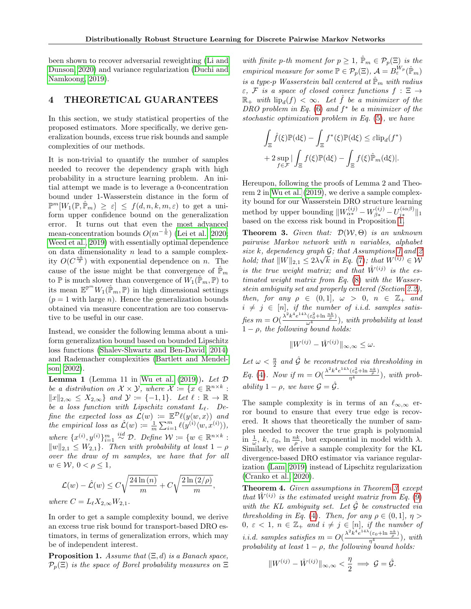been shown to recover adversarial reweighting [\(Li and](#page-9-18) [Dunson, 2020\)](#page-9-18) and variance regularization [\(Duchi and](#page-9-19) [Namkoong, 2019\)](#page-9-19).

## <span id="page-5-2"></span>4 THEORETICAL GUARANTEES

In this section, we study statistical properties of the proposed estimators. More specifically, we derive generalization bounds, excess true risk bounds and sample complexities of our methods.

It is non-trivial to quantify the number of samples needed to recover the dependency graph with high probability in a structure learning problem. An initial attempt we made is to leverage a 0-concentration bound under 1-Wasserstein distance in the form of  $\mathbb{P}^m[W_1(\mathbb{P}, \hat{\mathbb{P}}_m) \geq \varepsilon] \leq f(d, n, k, m, \varepsilon)$  to get a uniform upper confidence bound on the generalization error. It turns out that even the most advanced mean-concentration bounds  $O(m^{-\frac{1}{n}})$  [\(Lei et al., 2020;](#page-9-20) [Weed et al., 2019\)](#page-10-15) with essentially optimal dependence on data dimensionality  $n$  lead to a sample complexity  $O(C^{\frac{n k}{2}})$  with exponential dependence on n. The cause of the issue might be that convergence of  $\hat{P}_m$ to  $\mathbb P$  is much slower than convergence of  $W_1(\hat{P}_m, \mathbb P)$  to its mean  $\mathbb{E}^{\mathbb{P}^m} W_1(\hat{\mathbb{P}}_m, \mathbb{P})$  in high dimensional settings  $(p = 1$  with large *n*). Hence the generalization bounds obtained via measure concentration are too conservative to be useful in our case.

Instead, we consider the following lemma about a uniform generalization bound based on bounded Lipschitz loss functions [\(Shalev-Shwartz and Ben-David, 2014\)](#page-10-16) and Rademacher complexities [\(Bartlett and Mendel](#page-8-0)[son, 2002\)](#page-8-0).

<span id="page-5-3"></span>Lemma 1 (Lemma 11 in [Wu et al.](#page-10-1)  $(2019)$ ). Let  $D$ be a distribution on  $\mathcal{X} \times \mathcal{Y}$ , where  $\mathcal{X} := \{x \in \mathbb{R}^{n \times k}$ .  $||x||_{2,\infty}$  ≤  $X_{2,\infty}$ } and  $\mathcal{Y} := \{-1,1\}$ . Let  $\ell : \mathbb{R} \to \mathbb{R}$ be a loss function with Lipschitz constant  $L_{\ell}$ . Define the expected loss as  $\mathcal{L}(w) := \mathbb{E}^{\mathcal{D}} \ell(y \langle w, x \rangle)$  and the empirical loss as  $\mathcal{L}(w) \coloneqq \frac{1}{m} \sum_{i=1}^{m} \ell(\mathcal{Y}^{(i)}\langle w, x^{(i)} \rangle),$ where  $\{x^{(i)}, y^{(i)}\}_{i=1}^m \stackrel{iid}{\sim} \mathcal{D}$ . Define  $\mathcal{W} \coloneqq \{w \in \mathbb{R}^{n \times k}$ :  $||w||_{2,1} \leq W_{2,1}$ . Then with probability at least  $1 - \rho$ over the draw of m samples, we have that for all  $w \in \mathcal{W}, 0 < \rho \leq 1,$ 

$$
\mathcal{L}(w) - \hat{\mathcal{L}}(w) \le C\sqrt{\frac{24\ln(n)}{m}} + C\sqrt{\frac{2\ln(2/\rho)}{m}},
$$

where  $C = L_{\ell} X_{2,\infty} W_{2,1}$ .

In order to get a sample complexity bound, we derive an excess true risk bound for transport-based DRO estimators, in terms of generalization errors, which may be of independent interest.

<span id="page-5-0"></span>**Proposition 1.** Assume that  $(\Xi, d)$  is a Banach space,  $\mathcal{P}_p(\Xi)$  is the space of Borel probability measures on  $\Xi$ 

with finite p-th moment for  $p \geq 1$ ,  $\hat{\mathbb{P}}_m \in \mathcal{P}_p(\Xi)$  is the empirical measure for some  $\mathbb{P} \in \mathcal{P}_p(\Xi)$ ,  $\mathcal{A} = B_{\varepsilon}^{W_p}(\hat{\mathbb{P}}_m)$ is a type-p Wasserstein ball centered at  $\hat{P}_m$  with radius  $\varepsilon$ , F is a space of closed convex functions  $f : \Xi \rightarrow$  $\mathbb{R}_+$  with  $\text{lip}_d(f) < \infty$ . Let  $\hat{f}$  be a minimizer of the DRO problem in Eq.  $(6)$  and  $f^*$  be a minimizer of the stochastic optimization problem in Eq. [\(5\)](#page-3-1), we have

$$
\int_{\Xi} \hat{f}(\xi) \mathbb{P}(\mathrm{d}\xi) - \int_{\Xi} f^*(\xi) \mathbb{P}(\mathrm{d}\xi) \le \varepsilon \mathrm{lip}_d(f^*)
$$
  
+ 2 \sup\_{f \in \mathcal{F}} \left| \int\_{\Xi} f(\xi) \mathbb{P}(\mathrm{d}\xi) - \int\_{\Xi} f(\xi) \hat{\mathbb{P}}\_m(\mathrm{d}\xi) \right|

Hereupon, following the proofs of Lemma 2 and Theorem 2 in [Wu et al.](#page-10-1) [\(2019\)](#page-10-1), we derive a sample complexity bound for our Wasserstein DRO structure learning method by upper bounding  $||W_{\alpha*}^{(ij)} - W_{\beta*}^{(ij)} - U_{j*}^{(i\alpha\beta)}||_1$ based on the excess risk bound in Proposition [1.](#page-5-0)

<span id="page-5-1"></span>**Theorem 3.** Given that:  $\mathcal{D}(\mathcal{W}, \Theta)$  is an unknown pairwise Markov network with n variables, alphabet size k, dependency graph  $\mathcal{G}$ ; that Assumptions [1](#page-2-0) and [2](#page-2-1) hold; that  $||W||_{2,1} \leq 2\lambda\sqrt{k}$  in Eq. [\(7\)](#page-4-0); that  $W^{(ij)} \in \mathcal{W}$ is the true weight matrix; and that  $\hat{W}^{(ij)}$  is the estimated weight matrix from Eq. [\(8\)](#page-4-2) with the Wasserstein ambiguity set and properly centered (Section [2.2\)](#page-2-3), then, for any  $\rho \in (0,1], \omega > 0, n \in \mathbb{Z}_+$  and  $i \neq j \in [n]$ , if the number of i.i.d. samples satisfies  $m = O(\frac{\lambda^2 k^4 e^{14\lambda} (\varepsilon_0^2 + \ln \frac{nk}{\rho})}{\omega^4})$ , with probability at least  $1 - \rho$ , the following bound holds:

$$
||W^{(ij)} - \hat{W}^{(ij)}||_{\infty,\infty} \le \omega.
$$

Let  $\omega < \frac{\eta}{2}$  and  $\hat{\mathcal{G}}$  be reconstructed via thresholding in  $Eq. (4).$  $Eq. (4).$  $Eq. (4).$  Now if  $m = O(\frac{\lambda^2 k^4 e^{44\lambda} (\varepsilon_0^2 + \ln \frac{nk}{\rho})}{\eta^4}),$  with probability  $1 - \rho$ , we have  $\mathcal{G} = \hat{\mathcal{G}}$ .

The sample complexity is in terms of an  $\ell_{\infty,\infty}$  error bound to ensure that every true edge is recovered. It shows that theoretically the number of samples needed to recover the true graph is polynomial in  $\frac{1}{\omega}$ ,  $k$ ,  $\varepsilon_0$ ,  $\ln \frac{nk}{\rho}$ , but exponential in model width  $\lambda$ . Similarly, we derive a sample complexity for the KL divergence-based DRO estimator via variance regularization [\(Lam, 2019\)](#page-9-21) instead of Lipschitz regularization [\(Cranko et al., 2020\)](#page-9-22).

Theorem 4. Given assumptions in Theorem [3,](#page-5-1) except that  $\hat{W}^{(ij)}$  is the estimated weight matrix from Eq. [\(9\)](#page-4-3) with the KL ambiguity set. Let  $\hat{\mathcal{G}}$  be constructed via thresholding in Eq. [\(4\)](#page-3-2). Then, for any  $\rho \in (0,1], \eta >$  $0, \varepsilon < 1, n \in \mathbb{Z}_+$  and  $i \neq j \in [n],$  if the number of *i.i.d.* samples satisfies  $m = O(\frac{\lambda^2 k^4 e^{14\lambda} (\varepsilon_0 + \ln \frac{nk}{\rho})}{\eta^4})$ , with probability at least  $1 - \rho$ , the following bound holds:

$$
||W^{(ij)} - \hat{W}^{(ij)}||_{\infty,\infty} < \frac{\eta}{2} \implies \mathcal{G} = \hat{\mathcal{G}}.
$$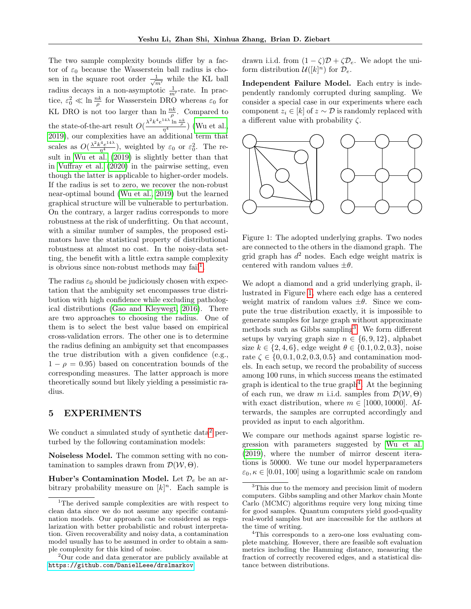The two sample complexity bounds differ by a factor of  $\varepsilon_0$  because the Wasserstein ball radius is chosen in the square root order  $\frac{1}{\sqrt{m'}}$  while the KL ball radius decays in a non-asymptotic  $\frac{1}{m'}$ -rate. In practice,  $\varepsilon_0^2 \ll \ln \frac{nk}{\rho}$  for Wasserstein DRO whereas  $\varepsilon_0$  for KL DRO is not too larger than  $\ln \frac{nk}{\rho}$ . Compared to the state-of-the-art result  $O(\frac{\lambda^2 k^4 e^{14\lambda} \ln \frac{n k}{\rho}}{\eta^4})$  [\(Wu et al.,](#page-10-1) [2019\)](#page-10-1), our complexities have an additional term that scales as  $O(\frac{\lambda^2 k^4 e^{14\lambda}}{\eta^4})$ , weighted by  $\varepsilon_0$  or  $\varepsilon_0^2$ . The result in [Wu et al.](#page-10-1) [\(2019\)](#page-10-1) is slightly better than that in [Vuffray et al.](#page-10-2) [\(2020\)](#page-10-2) in the pairwise setting, even though the latter is applicable to higher-order models. If the radius is set to zero, we recover the non-robust near-optimal bound [\(Wu et al., 2019\)](#page-10-1) but the learned graphical structure will be vulnerable to perturbation. On the contrary, a larger radius corresponds to more robustness at the risk of underfitting. On that account, with a similar number of samples, the proposed estimators have the statistical property of distributional robustness at almost no cost. In the noisy-data setting, the benefit with a little extra sample complexity is obvious since non-robust methods may fail<sup>[1](#page-6-0)</sup>.

The radius  $\varepsilon_0$  should be judiciously chosen with expectation that the ambiguity set encompasses true distribution with high confidence while excluding pathological distributions [\(Gao and Kleywegt, 2016\)](#page-9-23). There are two approaches to choosing the radius. One of them is to select the best value based on empirical cross-validation errors. The other one is to determine the radius defining an ambiguity set that encompasses the true distribution with a given confidence (e.g.,  $1 - \rho = 0.95$ ) based on concentration bounds of the corresponding measures. The latter approach is more theoretically sound but likely yielding a pessimistic radius.

## 5 EXPERIMENTS

We conduct a simulated study of synthetic data<sup>[2](#page-6-1)</sup> perturbed by the following contamination models:

Noiseless Model. The common setting with no contamination to samples drawn from  $\mathcal{D}(\mathcal{W}, \Theta)$ .

Huber's Contamination Model. Let  $\mathcal{D}_e$  be an arbitrary probability measure on  $[k]^n$ . Each sample is

drawn i.i.d. from  $(1 - \zeta)\mathcal{D} + \zeta\mathcal{D}_e$ . We adopt the uniform distribution  $\mathcal{U}([k]^n)$  for  $\mathcal{D}_e$ .

Independent Failure Model. Each entry is independently randomly corrupted during sampling. We consider a special case in our experiments where each component  $z_i \in [k]$  of  $z \sim \mathcal{D}$  is randomly replaced with a different value with probability  $\zeta$ .



<span id="page-6-2"></span>Figure 1: The adopted underlying graphs. Two nodes are connected to the others in the diamond graph. The grid graph has  $d^2$  nodes. Each edge weight matrix is centered with random values  $\pm \theta$ .

We adopt a diamond and a grid underlying graph, illustrated in Figure [1,](#page-6-2) where each edge has a centered weight matrix of random values  $\pm \theta$ . Since we compute the true distribution exactly, it is impossible to generate samples for large graph without approximate methods such as Gibbs sampling<sup>[3](#page-6-3)</sup>. We form different setups by varying graph size  $n \in \{6, 9, 12\}$ , alphabet size  $k \in \{2, 4, 6\}$ , edge weight  $\theta \in \{0.1, 0.2, 0.3\}$ , noise rate  $\zeta \in \{0, 0.1, 0.2, 0.3, 0.5\}$  and contamination models. In each setup, we record the probability of success among 100 runs, in which success means the estimated graph is identical to the true graph[4](#page-6-4) . At the beginning of each run, we draw m i.i.d. samples from  $\mathcal{D}(\mathcal{W}, \Theta)$ with exact distribution, where  $m \in [1000, 10000]$ . Afterwards, the samples are corrupted accordingly and provided as input to each algorithm.

We compare our methods against sparse logistic regression with parameters suggested by [Wu et al.](#page-10-1) [\(2019\)](#page-10-1), where the number of mirror descent iterations is 50000. We tune our model hyperparameters  $\varepsilon_0, \kappa \in [0.01, 100]$  using a logarithmic scale on random

<span id="page-6-0"></span><sup>&</sup>lt;sup>1</sup>The derived sample complexities are with respect to clean data since we do not assume any specific contamination models. Our approach can be considered as regularization with better probabilistic and robust interpretation. Given recoverability and noisy data, a contamination model usually has to be assumed in order to obtain a sample complexity for this kind of noise.

<span id="page-6-1"></span><sup>2</sup>Our code and data generator are publicly available at <https://github.com/DanielLeee/drslmarkov>.

<span id="page-6-3"></span><sup>3</sup>This due to the memory and precision limit of modern computers. Gibbs sampling and other Markov chain Monte Carlo (MCMC) algorithms require very long mixing time for good samples. Quantum computers yield good-quality real-world samples but are inaccessible for the authors at the time of writing.

<span id="page-6-4"></span><sup>4</sup>This corresponds to a zero-one loss evaluating complete matching. However, there are feasible soft evaluation metrics including the Hamming distance, measuring the fraction of correctly recovered edges, and a statistical distance between distributions.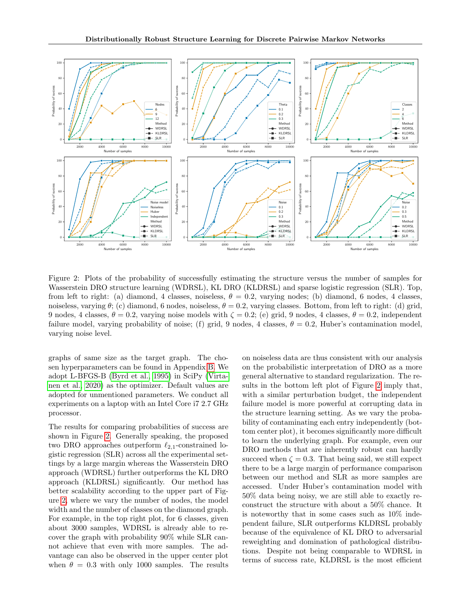

Figure 2: Plots of the probability of successfully estimating the structure versus the number of samples for Wasserstein DRO structure learning (WDRSL), KL DRO (KLDRSL) and sparse logistic regression (SLR). Top, from left to right: (a) diamond, 4 classes, noiseless,  $\theta = 0.2$ , varying nodes; (b) diamond, 6 nodes, 4 classes, noiseless, varying  $\theta$ ; (c) diamond, 6 nodes, noiseless,  $\theta = 0.2$ , varying classes. Bottom, from left to right: (d) grid, 9 nodes, 4 classes,  $\theta = 0.2$ , varying noise models with  $\zeta = 0.2$ ; (e) grid, 9 nodes, 4 classes,  $\theta = 0.2$ , independent failure model, varying probability of noise; (f) grid, 9 nodes, 4 classes,  $\theta = 0.2$ , Huber's contamination model, varying noise level.

graphs of same size as the target graph. The chosen hyperparameters can be found in Appendix [B.](#page-11-0) We adopt L-BFGS-B [\(Byrd et al., 1995\)](#page-9-24) in SciPy [\(Virta](#page-10-17)[nen et al., 2020\)](#page-10-17) as the optimizer. Default values are adopted for unmentioned parameters. We conduct all experiments on a laptop with an Intel Core i7 2.7 GHz processor.

The results for comparing probabilities of success are shown in Figure [2.](#page-7-0) Generally speaking, the proposed two DRO approaches outperform  $\ell_{2,1}$ -constrained logistic regression (SLR) across all the experimental settings by a large margin whereas the Wasserstein DRO approach (WDRSL) further outperforms the KL DRO approach (KLDRSL) significantly. Our method has better scalability according to the upper part of Figure [2,](#page-7-0) where we vary the number of nodes, the model width and the number of classes on the diamond graph. For example, in the top right plot, for 6 classes, given about 3000 samples, WDRSL is already able to recover the graph with probability 90% while SLR cannot achieve that even with more samples. The advantage can also be observed in the upper center plot when  $\theta = 0.3$  with only 1000 samples. The results <span id="page-7-0"></span>on noiseless data are thus consistent with our analysis on the probabilistic interpretation of DRO as a more general alternative to standard regularization. The results in the bottom left plot of Figure [2](#page-7-0) imply that, with a similar perturbation budget, the independent failure model is more powerful at corrupting data in the structure learning setting. As we vary the probability of contaminating each entry independently (bottom center plot), it becomes significantly more difficult to learn the underlying graph. For example, even our DRO methods that are inherently robust can hardly succeed when  $\zeta = 0.3$ . That being said, we still expect there to be a large margin of performance comparison between our method and SLR as more samples are accessed. Under Huber's contamination model with 50% data being noisy, we are still able to exactly reconstruct the structure with about a 50% chance. It is noteworthy that in some cases such as 10% independent failure, SLR outperforms KLDRSL probably because of the equivalence of KL DRO to adversarial reweighting and domination of pathological distributions. Despite not being comparable to WDRSL in terms of success rate, KLDRSL is the most efficient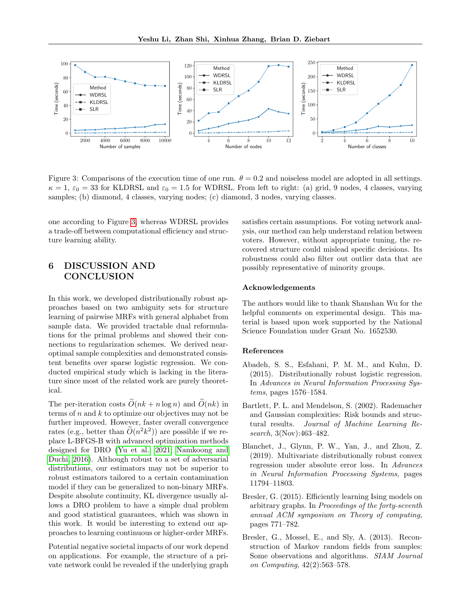

Figure 3: Comparisons of the execution time of one run.  $\theta = 0.2$  and noiseless model are adopted in all settings.  $\kappa = 1$ ,  $\varepsilon_0 = 33$  for KLDRSL and  $\varepsilon_0 = 1.5$  for WDRSL. From left to right: (a) grid, 9 nodes, 4 classes, varying samples; (b) diamond, 4 classes, varying nodes; (c) diamond, 3 nodes, varying classes.

one according to Figure [3,](#page-8-5) whereas WDRSL provides a trade-off between computational efficiency and structure learning ability.

# 6 DISCUSSION AND **CONCLUSION**

In this work, we developed distributionally robust approaches based on two ambiguity sets for structure learning of pairwise MRFs with general alphabet from sample data. We provided tractable dual reformulations for the primal problems and showed their connections to regularization schemes. We derived nearoptimal sample complexities and demonstrated consistent benefits over sparse logistic regression. We conducted empirical study which is lacking in the literature since most of the related work are purely theoretical.

The per-iteration costs  $O(nk + n \log n)$  and  $O(nk)$  in terms of  $n$  and  $k$  to optimize our objectives may not be further improved. However, faster overall convergence rates (e.g., better than  $\widetilde{O}(n^2k^2)$ ) are possible if we replace L-BFGS-B with advanced optimization methods designed for DRO [\(Yu et al., 2021;](#page-10-18) [Namkoong and](#page-9-25) [Duchi, 2016\)](#page-9-25). Although robust to a set of adversarial distributions, our estimators may not be superior to robust estimators tailored to a certain contamination model if they can be generalized to non-binary MRFs. Despite absolute continuity, KL divergence usually allows a DRO problem to have a simple dual problem and good statistical guarantees, which was shown in this work. It would be interesting to extend our approaches to learning continuous or higher-order MRFs.

Potential negative societal impacts of our work depend on applications. For example, the structure of a private network could be revealed if the underlying graph <span id="page-8-5"></span>satisfies certain assumptions. For voting network analysis, our method can help understand relation between voters. However, without appropriate tuning, the recovered structure could mislead specific decisions. Its robustness could also filter out outlier data that are possibly representative of minority groups.

#### Acknowledgements

The authors would like to thank Shanshan Wu for the helpful comments on experimental design. This material is based upon work supported by the National Science Foundation under Grant No. 1652530.

#### References

- <span id="page-8-4"></span>Abadeh, S. S., Esfahani, P. M. M., and Kuhn, D. (2015). Distributionally robust logistic regression. In Advances in Neural Information Processing Systems, pages 1576–1584.
- <span id="page-8-0"></span>Bartlett, P. L. and Mendelson, S. (2002). Rademacher and Gaussian complexities: Risk bounds and structural results. Journal of Machine Learning Research, 3(Nov):463–482.
- <span id="page-8-3"></span>Blanchet, J., Glynn, P. W., Yan, J., and Zhou, Z. (2019). Multivariate distributionally robust convex regression under absolute error loss. In Advances in Neural Information Processing Systems, pages 11794–11803.
- <span id="page-8-2"></span>Bresler, G. (2015). Efficiently learning Ising models on arbitrary graphs. In Proceedings of the forty-seventh annual ACM symposium on Theory of computing, pages 771–782.
- <span id="page-8-1"></span>Bresler, G., Mossel, E., and Sly, A. (2013). Reconstruction of Markov random fields from samples: Some observations and algorithms. SIAM Journal on Computing, 42(2):563–578.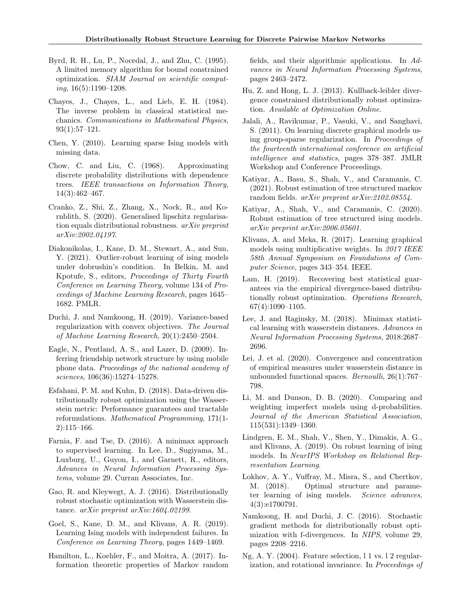- <span id="page-9-24"></span>Byrd, R. H., Lu, P., Nocedal, J., and Zhu, C. (1995). A limited memory algorithm for bound constrained optimization. SIAM Journal on scientific computing, 16(5):1190–1208.
- <span id="page-9-3"></span>Chayes, J., Chayes, L., and Lieb, E. H. (1984). The inverse problem in classical statistical mechanics. Communications in Mathematical Physics, 93(1):57–121.
- <span id="page-9-8"></span>Chen, Y. (2010). Learning sparse Ising models with missing data.
- <span id="page-9-5"></span>Chow, C. and Liu, C. (1968). Approximating discrete probability distributions with dependence trees. IEEE transactions on Information Theory, 14(3):462–467.
- <span id="page-9-22"></span>Cranko, Z., Shi, Z., Zhang, X., Nock, R., and Kornblith, S. (2020). Generalised lipschitz regularisation equals distributional robustness. arXiv preprint arXiv:2002.04197.
- <span id="page-9-12"></span>Diakonikolas, I., Kane, D. M., Stewart, A., and Sun, Y. (2021). Outlier-robust learning of ising models under dobrushin's condition. In Belkin, M. and Kpotufe, S., editors, Proceedings of Thirty Fourth Conference on Learning Theory, volume 134 of Proceedings of Machine Learning Research, pages 1645– 1682. PMLR.
- <span id="page-9-19"></span>Duchi, J. and Namkoong, H. (2019). Variance-based regularization with convex objectives. The Journal of Machine Learning Research, 20(1):2450–2504.
- <span id="page-9-4"></span>Eagle, N., Pentland, A. S., and Lazer, D. (2009). Inferring friendship network structure by using mobile phone data. Proceedings of the national academy of sciences, 106(36):15274–15278.
- <span id="page-9-14"></span>Esfahani, P. M. and Kuhn, D. (2018). Data-driven distributionally robust optimization using the Wasserstein metric: Performance guarantees and tractable reformulations. Mathematical Programming, 171(1- 2):115–166.
- <span id="page-9-15"></span>Farnia, F. and Tse, D. (2016). A minimax approach to supervised learning. In Lee, D., Sugiyama, M., Luxburg, U., Guyon, I., and Garnett, R., editors, Advances in Neural Information Processing Systems, volume 29. Curran Associates, Inc.
- <span id="page-9-23"></span>Gao, R. and Kleywegt, A. J. (2016). Distributionally robust stochastic optimization with Wasserstein distance. arXiv preprint arXiv:1604.02199.
- <span id="page-9-10"></span>Goel, S., Kane, D. M., and Klivans, A. R. (2019). Learning Ising models with independent failures. In Conference on Learning Theory, pages 1449–1469.
- <span id="page-9-1"></span>Hamilton, L., Koehler, F., and Moitra, A. (2017). Information theoretic properties of Markov random

fields, and their algorithmic applications. In Advances in Neural Information Processing Systems, pages 2463–2472.

- <span id="page-9-17"></span>Hu, Z. and Hong, L. J. (2013). Kullback-leibler divergence constrained distributionally robust optimization. Available at Optimization Online.
- <span id="page-9-6"></span>Jalali, A., Ravikumar, P., Vasuki, V., and Sanghavi, S. (2011). On learning discrete graphical models using group-sparse regularization. In Proceedings of the fourteenth international conference on artificial intelligence and statistics, pages 378–387. JMLR Workshop and Conference Proceedings.
- <span id="page-9-13"></span>Katiyar, A., Basu, S., Shah, V., and Caramanis, C. (2021). Robust estimation of tree structured markov random fields. arXiv preprint arXiv:2102.08554.
- <span id="page-9-11"></span>Katiyar, A., Shah, V., and Caramanis, C. (2020). Robust estimation of tree structured ising models. arXiv preprint arXiv:2006.05601.
- <span id="page-9-0"></span>Klivans, A. and Meka, R. (2017). Learning graphical models using multiplicative weights. In 2017 IEEE 58th Annual Symposium on Foundations of Computer Science, pages 343–354. IEEE.
- <span id="page-9-21"></span>Lam, H. (2019). Recovering best statistical guarantees via the empirical divergence-based distributionally robust optimization. Operations Research, 67(4):1090–1105.
- <span id="page-9-16"></span>Lee, J. and Raginsky, M. (2018). Minimax statistical learning with wasserstein distances. Advances in Neural Information Processing Systems, 2018:2687– 2696.
- <span id="page-9-20"></span>Lei, J. et al. (2020). Convergence and concentration of empirical measures under wasserstein distance in unbounded functional spaces. Bernoulli, 26(1):767– 798.
- <span id="page-9-18"></span>Li, M. and Dunson, D. B. (2020). Comparing and weighting imperfect models using d-probabilities. Journal of the American Statistical Association, 115(531):1349–1360.
- <span id="page-9-9"></span>Lindgren, E. M., Shah, V., Shen, Y., Dimakis, A. G., and Klivans, A. (2019). On robust learning of ising models. In NeurIPS Workshop on Relational Representation Learning.
- <span id="page-9-7"></span>Lokhov, A. Y., Vuffray, M., Misra, S., and Chertkov, M. (2018). Optimal structure and parameter learning of ising models. Science advances, 4(3):e1700791.
- <span id="page-9-25"></span>Namkoong, H. and Duchi, J. C. (2016). Stochastic gradient methods for distributionally robust optimization with f-divergences. In NIPS, volume 29, pages 2208–2216.
- <span id="page-9-2"></span>Ng, A. Y. (2004). Feature selection, l 1 vs. l 2 regularization, and rotational invariance. In Proceedings of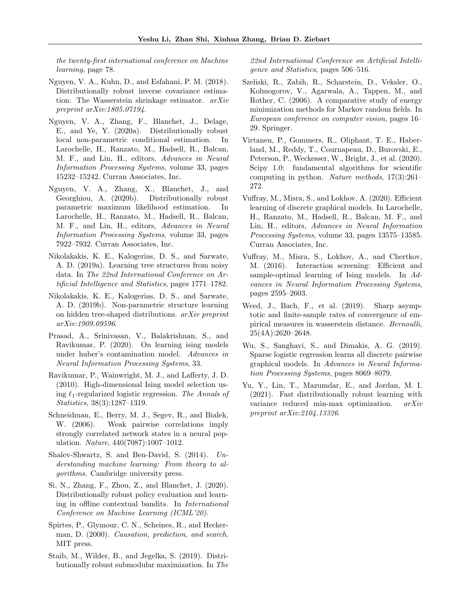the twenty-first international conference on Machine learning, page 78.

- <span id="page-10-11"></span>Nguyen, V. A., Kuhn, D., and Esfahani, P. M. (2018). Distributionally robust inverse covariance estimation: The Wasserstein shrinkage estimator. arXiv preprint arXiv:1805.07194.
- <span id="page-10-13"></span>Nguyen, V. A., Zhang, F., Blanchet, J., Delage, E., and Ye, Y. (2020a). Distributionally robust local non-parametric conditional estimation. In Larochelle, H., Ranzato, M., Hadsell, R., Balcan, M. F., and Lin, H., editors, Advances in Neural Information Processing Systems, volume 33, pages 15232–15242. Curran Associates, Inc.
- <span id="page-10-14"></span>Nguyen, V. A., Zhang, X., Blanchet, J., and Georghiou, A. (2020b). Distributionally robust parametric maximum likelihood estimation. In Larochelle, H., Ranzato, M., Hadsell, R., Balcan, M. F., and Lin, H., editors, Advances in Neural Information Processing Systems, volume 33, pages 7922–7932. Curran Associates, Inc.
- <span id="page-10-3"></span>Nikolakakis, K. E., Kalogerias, D. S., and Sarwate, A. D. (2019a). Learning tree structures from noisy data. In The 22nd International Conference on Artificial Intelligence and Statistics, pages 1771–1782.
- <span id="page-10-9"></span>Nikolakakis, K. E., Kalogerias, D. S., and Sarwate, A. D. (2019b). Non-parametric structure learning on hidden tree-shaped distributions. arXiv preprint arXiv:1909.09596.
- <span id="page-10-8"></span>Prasad, A., Srinivasan, V., Balakrishnan, S., and Ravikumar, P. (2020). On learning ising models under huber's contamination model. Advances in Neural Information Processing Systems, 33.
- <span id="page-10-7"></span>Ravikumar, P., Wainwright, M. J., and Lafferty, J. D. (2010). High-dimensional Ising model selection using  $\ell_1$ -regularized logistic regression. The Annals of Statistics, 38(3):1287–1319.
- <span id="page-10-5"></span>Schneidman, E., Berry, M. J., Segev, R., and Bialek, W. (2006). Weak pairwise correlations imply strongly correlated network states in a neural population. Nature, 440(7087):1007–1012.
- <span id="page-10-16"></span>Shalev-Shwartz, S. and Ben-David, S. (2014). Understanding machine learning: From theory to algorithms. Cambridge university press.
- <span id="page-10-12"></span>Si, N., Zhang, F., Zhou, Z., and Blanchet, J. (2020). Distributionally robust policy evaluation and learning in offline contextual bandits. In International Conference on Machine Learning (ICML'20).
- <span id="page-10-6"></span>Spirtes, P., Glymour, C. N., Scheines, R., and Heckerman, D. (2000). Causation, prediction, and search. MIT press.
- <span id="page-10-10"></span>Staib, M., Wilder, B., and Jegelka, S. (2019). Distributionally robust submodular maximization. In The

22nd International Conference on Artificial Intelligence and Statistics, pages 506–516.

- <span id="page-10-4"></span>Szeliski, R., Zabih, R., Scharstein, D., Veksler, O., Kolmogorov, V., Agarwala, A., Tappen, M., and Rother, C. (2006). A comparative study of energy minimization methods for Markov random fields. In European conference on computer vision, pages 16– 29. Springer.
- <span id="page-10-17"></span>Virtanen, P., Gommers, R., Oliphant, T. E., Haberland, M., Reddy, T., Cournapeau, D., Burovski, E., Peterson, P., Weckesser, W., Bright, J., et al. (2020). Scipy 1.0: fundamental algorithms for scientific computing in python. Nature methods, 17(3):261– 272.
- <span id="page-10-2"></span>Vuffray, M., Misra, S., and Lokhov, A. (2020). Efficient learning of discrete graphical models. In Larochelle, H., Ranzato, M., Hadsell, R., Balcan, M. F., and Lin, H., editors, Advances in Neural Information Processing Systems, volume 33, pages 13575–13585. Curran Associates, Inc.
- <span id="page-10-0"></span>Vuffray, M., Misra, S., Lokhov, A., and Chertkov, M. (2016). Interaction screening: Efficient and sample-optimal learning of Ising models. In Advances in Neural Information Processing Systems, pages 2595–2603.
- <span id="page-10-15"></span>Weed, J., Bach, F., et al. (2019). Sharp asymptotic and finite-sample rates of convergence of empirical measures in wasserstein distance. Bernoulli, 25(4A):2620–2648.
- <span id="page-10-1"></span>Wu, S., Sanghavi, S., and Dimakis, A. G. (2019). Sparse logistic regression learns all discrete pairwise graphical models. In Advances in Neural Information Processing Systems, pages 8069–8079.
- <span id="page-10-18"></span>Yu, Y., Lin, T., Mazumdar, E., and Jordan, M. I. (2021). Fast distributionally robust learning with variance reduced min-max optimization. arXiv preprint arXiv:2104.13326.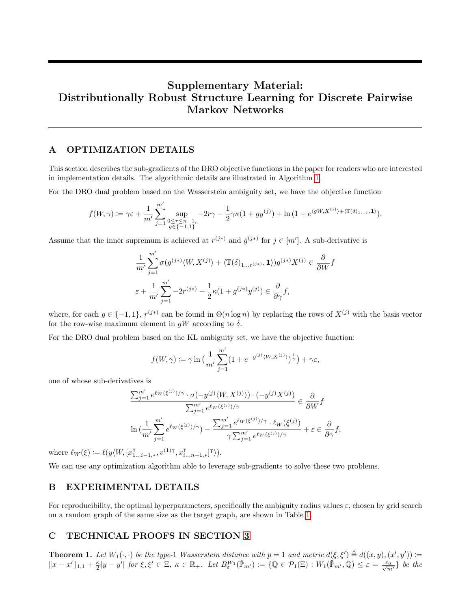# Supplementary Material: Distributionally Robust Structure Learning for Discrete Pairwise Markov Networks

# A OPTIMIZATION DETAILS

This section describes the sub-gradients of the DRO objective functions in the paper for readers who are interested in implementation details. The algorithmic details are illustrated in Algorithm [1.](#page-12-0)

For the DRO dual problem based on the Wasserstein ambiguity set, we have the objective function

$$
f(W,\gamma) \coloneqq \gamma\varepsilon + \frac{1}{m'}\sum_{j=1}^{m'}\sup_{\substack{0\leq r\leq n-1,\\ g\in\{-1,1\}}} -2r\gamma - \frac{1}{2}\gamma\kappa(1+gy^{(j)}) + \ln\big(1+e^{\langle gW,X^{(j)}\rangle+\langle \mathbb{T}(\delta)_{1...r},\mathbf{1}\rangle}\big).
$$

Assume that the inner supremum is achieved at  $r^{(j*)}$  and  $g^{(j*)}$  for  $j \in [m']$ . A sub-derivative is

$$
\frac{1}{m'}\sum_{j=1}^{m'}\sigma(g^{(j*)}\langle W, X^{(j)}\rangle + \langle \mathbb{T}(\delta)_{1...r^{(j*)}}, 1\rangle)g^{(j*)}X^{(j)} \in \frac{\partial}{\partial W}f
$$
  

$$
\varepsilon + \frac{1}{m'}\sum_{j=1}^{m'} -2r^{(j*)} - \frac{1}{2}\kappa(1+g^{(j*)}y^{(j)}) \in \frac{\partial}{\partial \gamma}f,
$$

where, for each  $g \in \{-1,1\}$ ,  $r^{(j*)}$  can be found in  $\Theta(n \log n)$  by replacing the rows of  $X^{(j)}$  with the basis vector for the row-wise maximum element in  $gW$  according to  $\delta$ .

For the DRO dual problem based on the KL ambiguity set, we have the objective function:

$$
f(W, \gamma) := \gamma \ln \big( \frac{1}{m'} \sum_{j=1}^{m'} (1 + e^{-y^{(j)} \langle W, X^{(j)} \rangle})^{\frac{1}{\gamma}} \big) + \gamma \varepsilon,
$$

one of whose sub-derivatives is

$$
\frac{\sum_{j=1}^{m'} e^{\ell_W(\xi^{(j)})/\gamma} \cdot \sigma(-y^{(j)} \langle W, X^{(j)} \rangle) \cdot (-y^{(j)} X^{(j)})}{\sum_{j=1}^{m'} e^{\ell_W(\xi^{(j)})/\gamma}} \in \frac{\partial}{\partial W} f
$$
  

$$
\ln \left( \frac{1}{m'} \sum_{j=1}^{m'} e^{\ell_W(\xi^{(j)})/\gamma} \right) - \frac{\sum_{j=1}^{m'} e^{\ell_W(\xi^{(j)})/\gamma} \cdot \ell_W(\xi^{(j)})}{\gamma \sum_{j=1}^{m'} e^{\ell_W(\xi^{(j)})/\gamma}} + \varepsilon \in \frac{\partial}{\partial \gamma} f,
$$

where  $\ell_W(\xi) \coloneqq \ell(y \langle W, [x] \cdot$  $_{1...i-1,*}^{\mathsf{T}},v^{(1)\mathsf{T}},x_{i}^{\mathsf{T}}$  $\left\{\mathsf{I}_{i...n-1,*}\right\}$ t $\rangle$ ).

We can use any optimization algorithm able to leverage sub-gradients to solve these two problems.

# <span id="page-11-0"></span>B EXPERIMENTAL DETAILS

For reproducibility, the optimal hyperparameters, specifically the ambiguity radius values  $\varepsilon$ , chosen by grid search on a random graph of the same size as the target graph, are shown in Table [1.](#page-13-0)

# C TECHNICAL PROOFS IN SECTION [3](#page-3-3)

**Theorem 1.** Let  $W_1(\cdot, \cdot)$  be the type-1 Wasserstein distance with  $p = 1$  and metric  $d(\xi, \xi') \triangleq d((x, y), (x', y')) :=$  $||x-x'||_{1,1} + \frac{\kappa}{2} |y-y'|$  for  $\xi, \xi' \in \Xi$ ,  $\kappa \in \mathbb{R}_+$ . Let  $B_{\varepsilon}^{W_1}(\hat{\mathbb{P}}_{m'}) \coloneqq {\mathbb{Q}} \in \mathcal{P}_1(\Xi) : W_1(\hat{\mathbb{P}}_{m'}, \mathbb{Q}) \leq \varepsilon = \frac{\varepsilon_0}{\sqrt{m'}}\}$  be the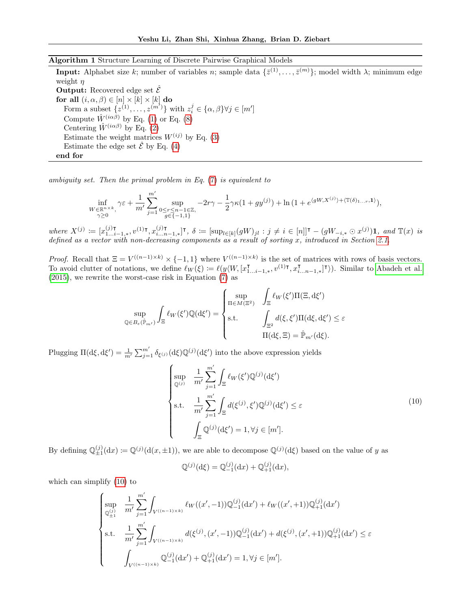#### Algorithm 1 Structure Learning of Discrete Pairwise Graphical Models

<span id="page-12-0"></span>**Input:** Alphabet size k; number of variables n; sample data  $\{\bar{z}^{(1)}, \ldots, \bar{z}^{(m)}\}$ ; model width  $\lambda$ ; minimum edge weight  $\eta$ **Output:** Recovered edge set  $\hat{\mathcal{E}}$ for all  $(i, \alpha, \beta) \in [n] \times [k] \times [k]$  do Form a subset  $\{z^{(1)}, \ldots, z^{(m^{\prime})}\}\$  with  $z_i^j \in {\alpha, \beta\} \forall j \in [m^{\prime}]$ Compute  $\hat{W}^{(i\alpha\beta)}$  by Eq. [\(1\)](#page-2-2) or Eq. [\(8\)](#page-4-2) Centering  $\hat{W}^{(i\alpha\beta)}$  by Eq. [\(2\)](#page-2-4) Estimate the weight matrices  $W^{(ij)}$  by Eq. [\(3\)](#page-2-5) Estimate the edge set  $\hat{\mathcal{E}}$  by Eq. [\(4\)](#page-3-2) end for

ambiguity set. Then the primal problem in Eq. [\(7\)](#page-4-0) is equivalent to

$$
\inf_{\substack{W\in\mathbb{R}^{n\times k},\\ \gamma\geq 0}}\gamma\varepsilon+\frac{1}{m'}\sum_{j=1}^{m'}\sup_{\substack{0\leq r\leq n-1\in\mathbb{Z},\\ g\in\{-1,1\}}} -2r\gamma-\frac{1}{2}\gamma\kappa(1+gy^{(j)})+\ln{(1+e^{\langle gW,X^{(j)}\rangle+\langle \mathbb{T}(\delta)_{1...r},\mathbf{1}\rangle})},
$$

 $where X^{(j)} := [x_{1...i-1,*}^{(j)}$ ,  $v^{(1)}$ <sub></sub>,  $x_{i...n-1,*}^{(j)}$ ],  $\delta := [\sup_{l \in [k]} (gW)_{jl} : j \neq i \in [n]]$ <sup>T</sup> –  $(gW_{-i,*} \odot x^{(j)})$ **1**, and  $\mathbb{T}(x)$  is defined as a vector with non-decreasing components as a result of sorting x, introduced in Section [2.1.](#page-1-0)

*Proof.* Recall that  $\Xi = V^{((n-1)\times k)} \times \{-1,1\}$  where  $V^{((n-1)\times k)}$  is the set of matrices with rows of basis vectors. To avoid clutter of notations, we define  $\ell_W(\xi) := \ell(y \langle W, [x] \rangle)$  $_{1...i-1,*}^{\mathsf{T}},v^{(1)\mathsf{T}},x_{i}^{\mathsf{T}}$  $\{\bar{x}_{i...n-1,*}|\tau\rangle\}$ . Similar to [Abadeh et al.](#page-8-4) [\(2015\)](#page-8-4), we rewrite the worst-case risk in Equation [\(7\)](#page-4-0) as

$$
\sup_{\mathbb{Q}\in B_{\varepsilon}(\hat{\mathbb{P}}_{m'})}\int_{\Xi}\ell_W(\xi')\mathbb{Q}(\mathrm{d}\xi')=\begin{cases}\sup_{\Pi\in M(\Xi^2)}&\int_{\Xi}\ell_W(\xi')\Pi(\Xi,\mathrm{d}\xi')\\ \text{s.t.}&\int_{\Xi^2}d(\xi,\xi')\Pi(\mathrm{d}\xi,\mathrm{d}\xi')\leq \varepsilon\\ \Pi(\mathrm{d}\xi,\Xi)=\hat{\mathbb{P}}_{m'}(\mathrm{d}\xi).\end{cases}
$$

Plugging  $\Pi(\mathrm{d}\xi, \mathrm{d}\xi') = \frac{1}{m'}\sum_{j=1}^{m'} \delta_{\xi^{(j)}}(\mathrm{d}\xi)\mathbb{Q}^{(j)}(\mathrm{d}\xi')$  into the above expression yields

$$
\begin{cases}\n\sup_{\mathbb{Q}^{(j)}} & \frac{1}{m'} \sum_{j=1}^{m'} \int_{\Xi} \ell_W(\xi') \mathbb{Q}^{(j)}(\mathrm{d}\xi') \\
\text{s.t.} & \frac{1}{m'} \sum_{j=1}^{m'} \int_{\Xi} d(\xi^{(j)}, \xi') \mathbb{Q}^{(j)}(\mathrm{d}\xi') \leq \varepsilon \\
& \int_{\Xi} \mathbb{Q}^{(j)}(\mathrm{d}\xi') = 1, \forall j \in [m'].\n\end{cases} (10)
$$

By defining  $\mathbb{Q}_{\pm 1}^{(j)}(\mathrm{d}x) \coloneqq \mathbb{Q}^{(j)}(\mathrm{d}(x,\pm 1)),$  we are able to decompose  $\mathbb{Q}^{(j)}(\mathrm{d}\xi)$  based on the value of y as

<span id="page-12-1"></span>
$$
\mathbb{Q}^{(j)}(\mathrm{d}\xi) = \mathbb{Q}^{(j)}_{-1}(\mathrm{d}x) + \mathbb{Q}^{(j)}_{+1}(\mathrm{d}x),
$$

which can simplify [\(10\)](#page-12-1) to

$$
\begin{cases}\n\sup_{\mathbb{Q}_{\pm 1}^{(j)}} & \frac{1}{m'} \sum_{j=1}^{m'} \int_{V^{((n-1)\times k)}} \ell_W((x', -1)) \mathbb{Q}_{-1}^{(j)}(\mathrm{d}x') + \ell_W((x', +1)) \mathbb{Q}_{+1}^{(j)}(\mathrm{d}x') \\
\text{s.t.} & \frac{1}{m'} \sum_{j=1}^{m'} \int_{V^{((n-1)\times k)}} d(\xi^{(j)}, (x', -1)) \mathbb{Q}_{-1}^{(j)}(\mathrm{d}x') + d(\xi^{(j)}, (x', +1)) \mathbb{Q}_{+1}^{(j)}(\mathrm{d}x') \leq \varepsilon \\
& \int_{V^{((n-1)\times k)}} \mathbb{Q}_{-1}^{(j)}(\mathrm{d}x') + \mathbb{Q}_{+1}^{(j)}(\mathrm{d}x') = 1, \forall j \in [m']. \n\end{cases}
$$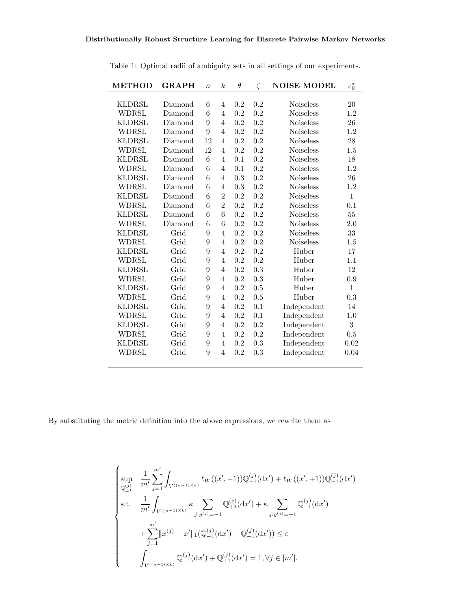| <b>METHOD</b> | <b>GRAPH</b> | $\overline{n}$ | $\boldsymbol{k}$ | $\theta$ | $\zeta$ | <b>NOISE MODEL</b> | $\varepsilon_0^*$ |
|---------------|--------------|----------------|------------------|----------|---------|--------------------|-------------------|
|               |              |                |                  |          |         |                    |                   |
| <b>KLDRSL</b> | Diamond      | 6              | 4                | 0.2      | 0.2     | <b>Noiseless</b>   | 20                |
| <b>WDRSL</b>  | Diamond      | 6              | $\overline{4}$   | 0.2      | 0.2     | <b>Noiseless</b>   | 1.2               |
| <b>KLDRSL</b> | Diamond      | 9              | 4                | 0.2      | 0.2     | <b>Noiseless</b>   | 26                |
| <b>WDRSL</b>  | Diamond      | 9              | $\overline{4}$   | 0.2      | 0.2     | Noiseless          | 1.2               |
| <b>KLDRSL</b> | Diamond      | 12             | 4                | 0.2      | 0.2     | <b>Noiseless</b>   | $28\,$            |
| <b>WDRSL</b>  | Diamond      | 12             | $\overline{4}$   | 0.2      | 0.2     | Noiseless          | 1.5               |
| <b>KLDRSL</b> | Diamond      | 6              | $\overline{4}$   | 0.1      | 0.2     | <b>Noiseless</b>   | 18                |
| <b>WDRSL</b>  | Diamond      | 6              | $\overline{4}$   | 0.1      | 0.2     | Noiseless          | 1.2               |
| <b>KLDRSL</b> | Diamond      | 6              | 4                | 0.3      | 0.2     | <b>Noiseless</b>   | 26                |
| <b>WDRSL</b>  | Diamond      | 6              | 4                | 0.3      | 0.2     | Noiseless          | 1.2               |
| <b>KLDRSL</b> | Diamond      | 6              | $\overline{2}$   | 0.2      | 0.2     | <b>Noiseless</b>   | $\mathbf{1}$      |
| <b>WDRSL</b>  | Diamond      | 6              | $\overline{2}$   | 0.2      | 0.2     | <b>Noiseless</b>   | 0.1               |
| <b>KLDRSL</b> | Diamond      | 6              | $\overline{6}$   | 0.2      | 0.2     | Noiseless          | 55                |
| WDRSL         | Diamond      | 6              | 6                | 0.2      | 0.2     | <b>Noiseless</b>   | 2.0               |
| <b>KLDRSL</b> | Grid         | 9              | $\overline{4}$   | 0.2      | 0.2     | <b>Noiseless</b>   | 33                |
| <b>WDRSL</b>  | Grid         | 9              | $\overline{4}$   | 0.2      | 0.2     | <b>Noiseless</b>   | 1.5               |
| <b>KLDRSL</b> | Grid         | 9              | $\overline{4}$   | 0.2      | 0.2     | Huber              | 17                |
| WDRSL         | Grid         | 9              | $\overline{4}$   | 0.2      | 0.2     | Huber              | $1.1\,$           |
| <b>KLDRSL</b> | Grid         | 9              | $\overline{4}$   | 0.2      | 0.3     | Huber              | 12                |
| <b>WDRSL</b>  | Grid         | 9              | $\overline{4}$   | 0.2      | 0.3     | Huber              | 0.9               |
| <b>KLDRSL</b> | Grid         | 9              | $\overline{4}$   | 0.2      | 0.5     | Huber              | $\mathbf{1}$      |
| WDRSL         | Grid         | 9              | $\overline{4}$   | 0.2      | 0.5     | Huber              | 0.3               |
| <b>KLDRSL</b> | Grid         | 9              | $\overline{4}$   | 0.2      | 0.1     | Independent        | 14                |
| WDRSL         | Grid         | 9              | $\overline{4}$   | 0.2      | 0.1     | Independent        | 1.0               |
| <b>KLDRSL</b> | Grid         | 9              | $\overline{4}$   | 0.2      | 0.2     | Independent        | 3                 |
| <b>WDRSL</b>  | Grid         | 9              | 4                | 0.2      | 0.2     | Independent        | 0.5               |
| <b>KLDRSL</b> | Grid         | 9              | $\overline{4}$   | 0.2      | 0.3     | Independent        | $0.02\,$          |
| WDRSL         | Grid         | 9              | $\overline{4}$   | 0.2      | 0.3     | Independent        | 0.04              |
|               |              |                |                  |          |         |                    |                   |

<span id="page-13-0"></span>Table 1: Optimal radii of ambiguity sets in all settings of our experiments.

By substituting the metric definition into the above expressions, we rewrite them as

$$
\begin{cases}\n\sup_{\mathbb{Q}_{\pm 1}^{(j)}} \quad \frac{1}{m'} \sum_{j=1}^{m'} \int_{V^{((n-1)\times k)}} \ell_W((x',-1)) \mathbb{Q}_{-1}^{(j)}(\mathrm{d}x') + \ell_W((x',+1)) \mathbb{Q}_{+1}^{(j)}(\mathrm{d}x') \\
\text{s.t.} \quad \frac{1}{m'} \int_{V^{((n-1)\times k)}} \kappa \sum_{j:y^{(j)}=-1} \mathbb{Q}_{+1}^{(j)}(\mathrm{d}x') + \kappa \sum_{j:y^{(j)}=+1} \mathbb{Q}_{-1}^{(j)}(\mathrm{d}x') \\
&+ \sum_{j=1}^{m'} \|x^{(j)} - x'\|_1 (\mathbb{Q}_{-1}^{(j)}(\mathrm{d}x') + \mathbb{Q}_{+1}^{(j)}(\mathrm{d}x')) \leq \varepsilon \\
& \int_{V^{((n-1)\times k)}} \mathbb{Q}_{-1}^{(j)}(\mathrm{d}x') + \mathbb{Q}_{+1}^{(j)}(\mathrm{d}x') = 1, \forall j \in [m'].\n\end{cases}
$$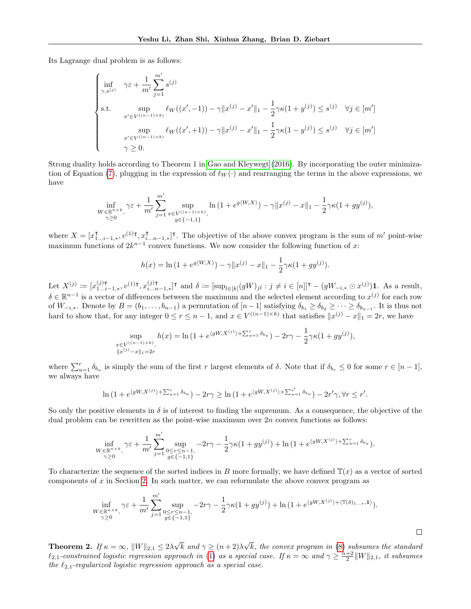Its Lagrange dual problem is as follows:

$$
\begin{cases}\n\inf_{\gamma, s^{(j)}} & \gamma \varepsilon + \frac{1}{m'} \sum_{j=1}^{m'} s^{(j)} \\
\text{s.t.} & \sup_{x' \in V^{((n-1)\times k)}} \ell_W((x', -1)) - \gamma \|x^{(j)} - x'\|_1 - \frac{1}{2} \gamma \kappa (1 + y^{(j)}) \le s^{(j)} \quad \forall j \in [m'] \\
& \sup_{x' \in V^{((n-1)\times k)}} \ell_W((x', +1)) - \gamma \|x^{(j)} - x'\|_1 - \frac{1}{2} \gamma \kappa (1 - y^{(j)}) \le s^{(j)} \quad \forall j \in [m'] \\
& \gamma \ge 0.\n\end{cases}
$$

Strong duality holds according to Theorem 1 in [Gao and Kleywegt](#page-9-23) [\(2016\)](#page-9-23). By incorporating the outer minimiza-tion of Equation [\(7\)](#page-4-0), plugging in the expression of  $\ell_W(\cdot)$  and rearranging the terms in the above expressions, we have

$$
\inf_{\substack{W\in \mathbb{R}^{n\times k},\\ \gamma\geq 0}} \gamma \varepsilon + \frac{1}{m'}\sum_{j=1}^{m'} \sup_{\substack{x\in V^{((n-1)\times k)},\\ g\in \{-1,1\}}} \ln{(1+e^{g\langle W,X\rangle})} - \gamma \|x^{(j)} - x\|_1 - \frac{1}{2}\gamma \kappa(1+g y^{(j)}),
$$

where  $X = [x]$ <sup>T</sup>  $_{1...i-1,*}^{\mathsf{T}},v^{(1)\mathsf{T}},x_{i.}^{\mathsf{T}}$  $\begin{bmatrix} \tau \\ i...n-1, \star \end{bmatrix}$ <sup>T</sup>. The objective of the above convex program is the sum of m' point-wise maximum functions of  $2k^{n-1}$  convex functions. We now consider the following function of x:

$$
h(x) = \ln(1 + e^{g\langle W, X \rangle}) - \gamma \|x^{(j)} - x\|_1 - \frac{1}{2}\gamma \kappa (1 + gy^{(j)}).
$$

Let  $X^{(j)} \coloneqq [x_{1...i-1,*}^{(j)}, v^{(1)}$ ,  $x_{i...n-1,*}^{(j)}]$ <sup>T</sup> and  $\delta \coloneqq [\sup_{l \in [k]} (gW)_{jl} : j \neq i \in [n]]$ <sup>T</sup> –  $(gW_{-i,*} \odot x^{(j)})$ 1. As a result,  $\delta \in \mathbb{R}^{n-1}$  is a vector of differences between the maximum and the selected element according to  $x^{(j)}$  for each row of  $W_{-i,*}$ . Denote by  $B=(b_1,\ldots,b_{n-1})$  a permutation of  $[n-1]$  satisfying  $\delta_{b_1}\geq \delta_{b_2}\geq \cdots \geq \delta_{b_{n-1}}$ . It is thus not hard to show that, for any integer  $0 \le r \le n-1$ , and  $x \in V^{((n-1)\times k)}$  that satisfies  $||x^{(j)} - x||_1 = 2r$ , we have

$$
\sup_{\substack{x \in V^{((n-1)\times k)}, \\ \|x^{(j)} - x\|_1 = 2r}} h(x) = \ln(1 + e^{\langle gW, X^{(j)} \rangle + \sum_{u=1}^r \delta_{b_u}}) - 2r\gamma - \frac{1}{2}\gamma\kappa(1 + gy^{(j)}),
$$

where  $\sum_{u=1}^r \delta_{b_u}$  is simply the sum of the first r largest elements of  $\delta$ . Note that if  $\delta_{b_r} \leq 0$  for some  $r \in [n-1]$ , we always have

$$
\ln\left(1+e^{\langle gW,X^{(j)}\rangle+\sum_{u=1}^r\delta_{bu}}\right)-2r\gamma\geq\ln\left(1+e^{\langle gW,X^{(j)}\rangle+\sum_{u=1}^{r'}\delta_{bu}}\right)-2r'\gamma, \forall r\leq r'.
$$

So only the positive elements in  $\delta$  is of interest to finding the supremum. As a consequence, the objective of the dual problem can be rewritten as the point-wise maximum over 2n convex functions as follows:

$$
\inf_{\substack{W\in\mathbb{R}^{n\times k},\\ \gamma\geq 0}} \gamma\varepsilon + \frac{1}{m'}\sum_{j=1}^{m'} \sup_{\substack{0\leq r\leq n-1,\\ g\in\{-1,1\}}} -2r\gamma - \frac{1}{2}\gamma\kappa(1+g y^{(j)}) + \ln\big(1+e^{\langle gW,X^{(j)}\rangle + \sum_{u=1}^r \delta_{b_u}}\big).
$$

To characterize the sequence of the sorted indices in B more formally, we have defined  $\mathbb{T}(x)$  as a vector of sorted components of  $x$  in Section [2.](#page-1-1) In such matter, we can reformulate the above convex program as

$$
\inf_{\substack{W\in\mathbb{R}^{n\times k},\\ \gamma\geq 0}}\gamma\varepsilon+\frac{1}{m'}\sum_{j=1}^{m'}\sup_{\substack{0\leq r\leq n-1,\\ g\in\{-1,1\}}} -2r\gamma-\frac{1}{2}\gamma\kappa(1+gy^{(j)})+\ln{(1+e^{\langle gW,X^{(j)}\rangle+\langle \mathbb{T}(\delta)_{1...r},\mathbf{1}\rangle})}.
$$

 $\Box$ 

Theorem 2. If  $\kappa=\infty, \, \|W\|_{2,1} \leq 2\lambda$ √ k and  $\gamma \ge (n+2)\lambda$ √ k, the convex program in [\(8\)](#page-4-2) subsumes the standard  $\ell_{2,1}$ -constrained logistic regression approach in [\(1\)](#page-2-2) as a special case. If  $\kappa = \infty$  and  $\gamma \geq \frac{n+2}{2}||W||_{2,1}$ , it subsumes the  $\ell_{2,1}$ -regularized logistic regression approach as a special case.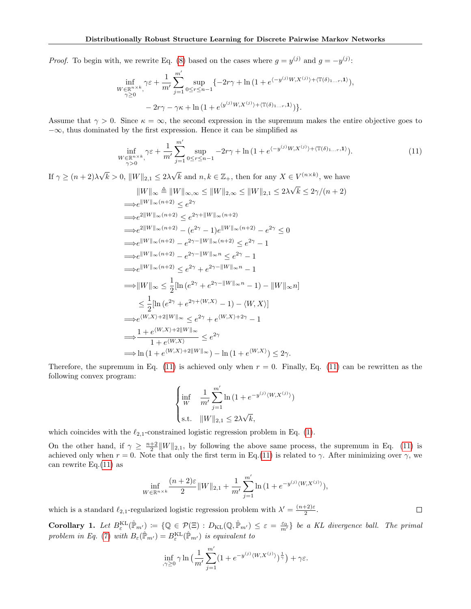*Proof.* To begin with, we rewrite Eq. [\(8\)](#page-4-2) based on the cases where  $g = y^{(j)}$  and  $g = -y^{(j)}$ :

$$
\inf_{\substack{W \in \mathbb{R}^{n \times k}, \\ \gamma \ge 0}} \gamma \varepsilon + \frac{1}{m'} \sum_{j=1}^{m'} \sup_{0 \le r \le n-1} \{ -2r\gamma + \ln(1 + e^{\langle -y^{(j)}W, X^{(j)} \rangle + \langle \mathbb{T}(\delta_{1\dots r}, 1 \rangle}), \\ -2r\gamma - \gamma \kappa + \ln(1 + e^{\langle y^{(j)}W, X^{(j)} \rangle + \langle \mathbb{T}(\delta_{1\dots r}, 1 \rangle)} \}.
$$

Assume that  $\gamma > 0$ . Since  $\kappa = \infty$ , the second expression in the supremum makes the entire objective goes to  $-\infty$ , thus dominated by the first expression. Hence it can be simplified as

<span id="page-15-0"></span>
$$
\inf_{\substack{W \in \mathbb{R}^{n \times k}, \\ \gamma > 0}} \gamma \varepsilon + \frac{1}{m'} \sum_{j=1}^{m'} \sup_{0 \le r \le n-1} -2r\gamma + \ln\left(1 + e^{\langle -y^{(j)}W, X^{(j)} \rangle + \langle \mathbb{T}(\delta)_{1...r}, 1 \rangle}\right). \tag{11}
$$

If  $\gamma \ge (n+2)\lambda$ √  $k > 0, ||W||_{2,1} \leq 2\lambda$  $\sqrt{k}$  and  $n, k \in \mathbb{Z}_+$ , then for any  $X \in V^{(n \times k)}$ , we have

$$
||W||_{\infty} \triangleq ||W||_{\infty,\infty} \le ||W||_{2,\infty} \le ||W||_{2,1} \le 2\lambda\sqrt{k} \le 2\gamma/(n+2)
$$
  
\n
$$
\Rightarrow e^{||W||_{\infty}(n+2)} \le e^{2\gamma}
$$
  
\n
$$
\Rightarrow e^{2||W||_{\infty}(n+2)} \le e^{2\gamma+||W||_{\infty}(n+2)}
$$
  
\n
$$
\Rightarrow e^{2||W||_{\infty}(n+2)} - (e^{2\gamma}-1)e^{||W||_{\infty}(n+2)} - e^{2\gamma} \le 0
$$
  
\n
$$
\Rightarrow e^{||W||_{\infty}(n+2)} - e^{2\gamma-||W||_{\infty}(n+2)} \le e^{2\gamma}-1
$$
  
\n
$$
\Rightarrow e^{||W||_{\infty}(n+2)} - e^{2\gamma-||W||_{\infty}n} \le e^{2\gamma}-1
$$
  
\n
$$
\Rightarrow e^{||W||_{\infty}(n+2)} \le e^{2\gamma} + e^{2\gamma-||W||_{\infty}n}-1
$$
  
\n
$$
\Rightarrow ||W||_{\infty} \le \frac{1}{2}[\ln(e^{2\gamma}+e^{2\gamma+|W||_{\infty}n}-1)-||W||_{\infty}n]
$$
  
\n
$$
\le \frac{1}{2}[\ln(e^{2\gamma}+e^{2\gamma+ \langle W,X \rangle}-1)-\langle W,X \rangle]
$$
  
\n
$$
\Rightarrow e^{\langle W,X \rangle+2||W||_{\infty}} \le e^{2\gamma} + e^{\langle W,X \rangle+2\gamma}-1
$$
  
\n
$$
\Rightarrow \frac{1+e^{\langle W,X \rangle+2||W||_{\infty}}{1+e^{\langle W,X \rangle}} \le e^{2\gamma}
$$
  
\n
$$
\Rightarrow \ln(1+e^{\langle W,X \rangle+2||W||_{\infty}}) - \ln(1+e^{\langle W,X \rangle}) \le 2\gamma.
$$

Therefore, the supremum in Eq. [\(11\)](#page-15-0) is achieved only when  $r = 0$ . Finally, Eq. (11) can be rewritten as the following convex program:

$$
\begin{cases} \inf_{W} & \frac{1}{m'} \sum_{j=1}^{m'} \ln(1 + e^{-y^{(j)} \langle W, X^{(j)} \rangle}) \\ \text{s.t.} & \|W\|_{2,1} \le 2\lambda \sqrt{k}, \end{cases}
$$

which coincides with the  $\ell_{2,1}$ -constrained logistic regression problem in Eq. [\(1\)](#page-2-2).

On the other hand, if  $\gamma \geq \frac{n+2}{2} ||W||_{2,1}$ , by following the above same process, the supremum in Eq. [\(11\)](#page-15-0) is achieved only when  $r = 0$ . Note that only the first term in Eq.[\(11\)](#page-15-0) is related to  $\gamma$ . After minimizing over  $\gamma$ , we can rewrite  $Eq.(11)$  $Eq.(11)$  as

$$
\inf_{W \in \mathbb{R}^{n \times k}} \frac{(n+2)\varepsilon}{2} ||W||_{2,1} + \frac{1}{m'} \sum_{j=1}^{m'} \ln(1 + e^{-y^{(j)} \langle W, X^{(j)} \rangle}),
$$

 $\Box$ 

which is a standard  $\ell_{2,1}$ -regularized logistic regression problem with  $\lambda' = \frac{(n+2)\varepsilon}{2}$  $\frac{(-2)\varepsilon}{2}$ .

Corollary 1. Let  $B_{\varepsilon}^{KL}(\hat{\mathbb{P}}_{m'}) := \{ \mathbb{Q} \in \mathcal{P}(\Xi) : D_{KL}(\mathbb{Q}, \hat{\mathbb{P}}_{m'}) \leq \varepsilon = \frac{\varepsilon_0}{m'} \}$  be a KL divergence ball. The primal problem in Eq. [\(7\)](#page-4-0) with  $B_{\varepsilon}(\hat{P}_{m'}) = B_{\varepsilon}^{KL}(\hat{P}_{m'})$  is equivalent to

$$
\inf_{\gamma \geq 0} \gamma \ln \big( \frac{1}{m'} \sum_{j=1}^{m'} \big( 1 + e^{-y^{(j)} \langle W, X^{(j)} \rangle} \big)^{\frac{1}{\gamma}} \big) + \gamma \varepsilon.
$$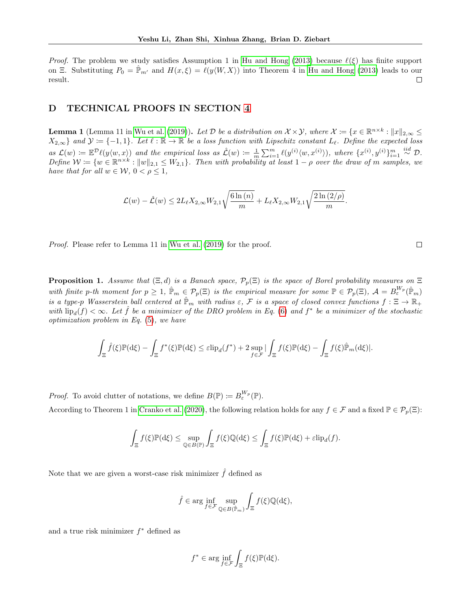*Proof.* The problem we study satisfies Assumption 1 in [Hu and Hong](#page-9-17) [\(2013\)](#page-9-17) because  $\ell(\xi)$  has finite support on Ξ. Substituting  $P_0 = \hat{P}_{m'}$  and  $H(x,\xi) = \ell(y\langle W,X\rangle)$  into Theorem 4 in [Hu and Hong](#page-9-17) [\(2013\)](#page-9-17) leads to our  $\Box$ result.

## D TECHNICAL PROOFS IN SECTION [4](#page-5-2)

**Lemma 1** (Lemma 11 in [Wu et al.](#page-10-1) [\(2019\)](#page-10-1)). Let D be a distribution on  $\mathcal{X} \times \mathcal{Y}$ , where  $\mathcal{X} := \{x \in \mathbb{R}^{n \times k} : ||x||_{2,\infty} \leq$  $X_{2,\infty}$  and  $\mathcal{Y} = \{-1,1\}$ . Let  $\ell : \mathbb{R} \to \mathbb{R}$  be a loss function with Lipschitz constant  $L_{\ell}$ . Define the expected loss as  $\mathcal{L}(w) := \mathbb{E}^{\mathcal{D}} \ell(y \langle w, x \rangle)$  and the empirical loss as  $\hat{\mathcal{L}}(w) := \frac{1}{m} \sum_{i=1}^{m} \ell(y^{(i)} \langle w, x^{(i)} \rangle)$ , where  $\{x^{(i)}, y^{(i)}\}_{i=1}^{m} \stackrel{iid}{\sim} \mathcal{D}$ .  $Define \mathcal{W} := \{w \in \mathbb{R}^{n \times k} : ||w||_{2,1} \leq W_{2,1}\}$ . Then with probability at least  $1 - \rho$  over the draw of m samples, we have that for all  $w \in \mathcal{W}$ ,  $0 < \rho \leq 1$ ,

$$
\mathcal{L}(w)-\hat{\mathcal{L}}(w)\leq 2L_\ell X_{2,\infty}W_{2,1}\sqrt{\frac{6\ln{(n)}}{m}}+L_\ell X_{2,\infty}W_{2,1}\sqrt{\frac{2\ln{(2/\rho)}}{m}}.
$$

Proof. Please refer to Lemma 11 in [Wu et al.](#page-10-1) [\(2019\)](#page-10-1) for the proof.

**Proposition 1.** Assume that  $(\Xi, d)$  is a Banach space,  $\mathcal{P}_p(\Xi)$  is the space of Borel probability measures on  $\Xi$ with finite p-th moment for  $p \geq 1$ ,  $\hat{P}_m \in \mathcal{P}_p(\Xi)$  is the empirical measure for some  $\mathbb{P} \in \mathcal{P}_p(\Xi)$ ,  $\mathcal{A} = B_{\varepsilon}^{W_p}(\hat{P}_m)$ is a type-p Wasserstein ball centered at  $\hat{P}_m$  with radius  $\varepsilon$ , F is a space of closed convex functions  $f : \Xi \to \mathbb{R}_+$ with  $\text{lip}_d(f) < \infty$ . Let  $\hat{f}$  be a minimizer of the DRO problem in Eq. [\(6\)](#page-3-0) and  $f^*$  be a minimizer of the stochastic optimization problem in Eq. [\(5\)](#page-3-1), we have

$$
\int_{\Xi} \widehat{f}(\xi) \mathbb{P}(\mathrm{d}\xi) - \int_{\Xi} f^*(\xi) \mathbb{P}(\mathrm{d}\xi) \leq \varepsilon \mathrm{lip}_d(f^*) + 2 \sup_{f \in \mathcal{F}} |\int_{\Xi} f(\xi) \mathbb{P}(\mathrm{d}\xi) - \int_{\Xi} f(\xi) \widehat{\mathbb{P}}_m(\mathrm{d}\xi)|.
$$

*Proof.* To avoid clutter of notations, we define  $B(\mathbb{P}) \coloneqq B_{\varepsilon}^{W_p}(\mathbb{P})$ .

According to Theorem 1 in [Cranko et al.](#page-9-22) [\(2020\)](#page-9-22), the following relation holds for any  $f \in \mathcal{F}$  and a fixed  $\mathbb{P} \in \mathcal{P}_p(\Xi)$ :

$$
\int_{\Xi} f(\xi) \mathbb{P}(\mathrm{d}\xi) \leq \sup_{\mathbb{Q} \in B(\mathbb{P})} \int_{\Xi} f(\xi) \mathbb{Q}(\mathrm{d}\xi) \leq \int_{\Xi} f(\xi) \mathbb{P}(\mathrm{d}\xi) + \varepsilon \mathrm{lip}_d(f).
$$

Note that we are given a worst-case risk minimizer  $\hat{f}$  defined as

$$
\hat{f} \in \arg\inf_{f \in \mathcal{F}} \sup_{\mathbb{Q} \in B(\hat{\mathbb{P}}_m)} \int_{\Xi} f(\xi) \mathbb{Q}(\mathrm{d}\xi),
$$

and a true risk minimizer  $f^*$  defined as

$$
f^* \in \arg\inf_{f \in \mathcal{F}} \int_{\Xi} f(\xi) \mathbb{P}(\mathrm{d}\xi).
$$

$$
\Box
$$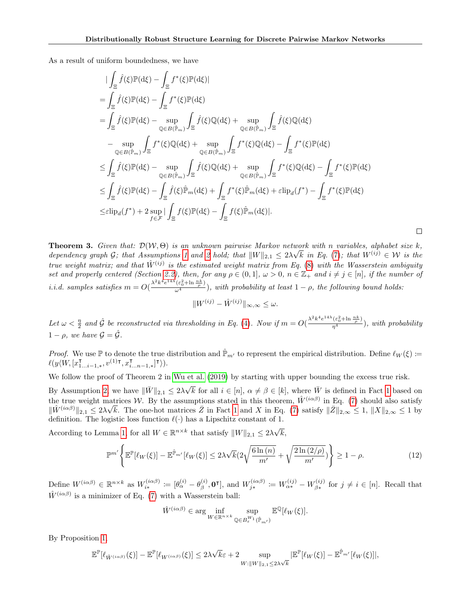As a result of uniform boundedness, we have

$$
\begin{split}\n&\left|\int_{\Xi}\hat{f}(\xi)\mathbb{P}(\mathrm{d}\xi)-\int_{\Xi}f^{*}(\xi)\mathbb{P}(\mathrm{d}\xi)\right| \\
&=\int_{\Xi}\hat{f}(\xi)\mathbb{P}(\mathrm{d}\xi)-\int_{\Xi}f^{*}(\xi)\mathbb{P}(\mathrm{d}\xi) \\
&=\int_{\Xi}\hat{f}(\xi)\mathbb{P}(\mathrm{d}\xi)-\sup_{\mathbb{Q}\in B(\hat{\mathbb{P}}_{m})}\int_{\Xi}\hat{f}(\xi)\mathbb{Q}(\mathrm{d}\xi)+\sup_{\mathbb{Q}\in B(\hat{\mathbb{P}}_{m})}\int_{\Xi}\hat{f}(\xi)\mathbb{Q}(\mathrm{d}\xi) \\
&- \sup_{\mathbb{Q}\in B(\hat{\mathbb{P}}_{m})}\int_{\Xi}f^{*}(\xi)\mathbb{Q}(\mathrm{d}\xi)+\sup_{\mathbb{Q}\in B(\hat{\mathbb{P}}_{m})}\int_{\Xi}f^{*}(\xi)\mathbb{Q}(\mathrm{d}\xi)-\int_{\Xi}f^{*}(\xi)\mathbb{P}(\mathrm{d}\xi) \\
&\leq \int_{\Xi}\hat{f}(\xi)\mathbb{P}(\mathrm{d}\xi)-\sup_{\mathbb{Q}\in B(\hat{\mathbb{P}}_{m})}\int_{\Xi}\hat{f}(\xi)\mathbb{Q}(\mathrm{d}\xi)+\sup_{\mathbb{Q}\in B(\hat{\mathbb{P}}_{m})}\int_{\Xi}f^{*}(\xi)\mathbb{Q}(\mathrm{d}\xi)-\int_{\Xi}f^{*}(\xi)\mathbb{P}(\mathrm{d}\xi) \\
&\leq \int_{\Xi}\hat{f}(\xi)\mathbb{P}(\mathrm{d}\xi)-\int_{\Xi}\hat{f}(\xi)\hat{\mathbb{P}}_{m}(\mathrm{d}\xi)+\int_{\Xi}f^{*}(\xi)\hat{\mathbb{P}}_{m}(\mathrm{d}\xi)+\varepsilon\mathrm{lip}_{d}(f^{*})-\int_{\Xi}f^{*}(\xi)\mathbb{P}(\mathrm{d}\xi) \\
&\leq\mathrm{clip}_{d}(f^{*})+2\sup_{f\in\mathcal{F}}\int_{\Xi}f(\xi)\mathbb{P}(\mathrm{d}\xi)-\int_{\Xi}f(\xi)\hat{\mathbb{P}}_{m}(\mathrm{d}\xi)].\n\end{split}
$$

**Theorem 3.** Given that:  $\mathcal{D}(\mathcal{W}, \Theta)$  is an unknown pairwise Markov network with n variables, alphabet size k, dependency graph  $\mathcal{G}$ ; that Assumptions [1](#page-2-0) and [2](#page-2-1) hold; that  $||W||_{2,1} \leq 2\lambda\sqrt{k}$  in Eq. [\(7\)](#page-4-0); that  $W^{(ij)} \in \mathcal{W}$  is the true weight matrix; and that  $\hat{W}^{(ij)}$  is the estimated weight matrix from Eq. [\(8\)](#page-4-2) with the Wasserstein ambiguity set and properly centered (Section [2.2\)](#page-2-3), then, for any  $\rho \in (0,1]$ ,  $\omega > 0$ ,  $n \in \mathbb{Z}_+$  and  $i \neq j \in [n]$ , if the number of *i.i.d.* samples satisfies  $m = O(\frac{\lambda^2 k^4 e^{14\lambda} (\varepsilon_0^2 + \ln \frac{n k}{\rho})}{\omega^4})$ , with probability at least  $1 - \rho$ , the following bound holds:

 $||W^{(ij)} - \hat{W}^{(ij)}||_{\infty,\infty} \leq \omega.$ 

Let  $\omega < \frac{\eta}{2}$  and  $\hat{\mathcal{G}}$  be reconstructed via thresholding in Eq. [\(4\)](#page-3-2). Now if  $m = O(\frac{\lambda^2 k^4 e^{14\lambda} (\varepsilon_0^2 + \ln \frac{n k}{\rho})}{\eta^4})$ , with probability  $1 - \rho$ , we have  $\mathcal{G} = \hat{\mathcal{G}}$ .

*Proof.* We use P to denote the true distribution and  $\hat{P}_{m'}$  to represent the empirical distribution. Define  $\ell_W(\xi) \coloneqq$  $\ell(y\langle W,[x_1^{\intercal}% \infty, x_2^{\intercal}]$  $_{1...i-1,*}^{\intercal},v^{(1)\intercal},x_{i.}^{\intercal}$  $\left\{\mathsf{I}_{i...n-1,*}\right\}$  $\left.\mathsf{I}\right\}$ ).

We follow the proof of Theorem 2 in [Wu et al.](#page-10-1) [\(2019\)](#page-10-1) by starting with upper bounding the excess true risk.

By Assumption [2,](#page-2-1) we have  $\|\bar{W}\|_{2,1} \leq 2\lambda\sqrt{k}$  for all  $i \in [n], \alpha \neq \beta \in [k]$ , where  $\bar{W}$  is defined in Fact [1](#page-2-6) based on the true weight matrices W. By the assumptions stated in this theorem,  $\hat{W}^{(i\alpha\beta)}$  in Eq. [\(7\)](#page-4-0) should also satisfy  $\|\hat{W}^{(i\alpha\beta)}\|_{2,1} \leq 2\lambda\sqrt{k}$ . The one-hot matrices  $\overline{Z}$  in Fact [1](#page-2-6) and X in Eq. [\(7\)](#page-4-0) satisfy  $\|\overline{Z}\|_{2,\infty} \leq 1$ ,  $\|X\|_{2,\infty} \leq 1$  by definition. The logistic loss function  $\ell(\cdot)$  has a Lipschitz constant of 1.

According to Lemma [1,](#page-5-3) for all  $W \in \mathbb{R}^{n \times k}$  that satisfy  $||W||_{2,1} \leq 2\lambda$ √  $k,$ 

$$
\mathbb{P}^{m'}\left\{\mathbb{E}^{\mathbb{P}}[\ell_{W}(\xi)] - \mathbb{E}^{\hat{\mathbb{P}}_{m'}}[\ell_{W}(\xi)] \le 2\lambda\sqrt{k}(2\sqrt{\frac{6\ln(n)}{m'}} + \sqrt{\frac{2\ln(2/\rho)}{m'}})\right\} \ge 1 - \rho.
$$
\n(12)

Define  $W^{(i\alpha\beta)} \in \mathbb{R}^{n \times k}$  as  $W_{i*}^{(i\alpha\beta)} \coloneqq [\theta_{\alpha}^{(i)} - \theta_{\beta}^{(i)}]$  $[\phi_{\beta}^{(i)}, 0^{\dagger}],$  and  $W_{j*}^{(i\alpha\beta)} \coloneqq W_{\alpha*}^{(ij)} - W_{\beta*}^{(ij)}$  $\beta_{\beta*}^{(ij)}$  for  $j \neq i \in [n]$ . Recall that  $\hat{W}^{(i\alpha\beta)}$  is a minimizer of Eq. [\(7\)](#page-4-0) with a Wasserstein ball:

<span id="page-17-0"></span>
$$
\hat{W}^{(i\alpha\beta)}\in \arg\inf_{W\in\mathbb{R}^{n\times k}}\sup_{\mathbb{Q}\in {\cal B}^{W_1}_{\varepsilon}(\hat{\mathbb{P}}_{m'})}\mathbb{E}^{\mathbb{Q}}[\ell_W(\xi)].
$$

By Proposition [1,](#page-5-0)

$$
\mathbb{E}^{\mathbb{P}}[\ell_{\hat{W}^{(i\alpha\beta)}}(\xi)] - \mathbb{E}^{\mathbb{P}}[\ell_{W^{(i\alpha\beta)}}(\xi)] \leq 2\lambda\sqrt{k}\varepsilon + 2 \sup_{W:\|W\|_{2,1}\leq 2\lambda\sqrt{k}} |\mathbb{E}^{\mathbb{P}}[\ell_{W}(\xi)] - \mathbb{E}^{\hat{\mathbb{P}}_{m'}}[\ell_{W}(\xi)]|,
$$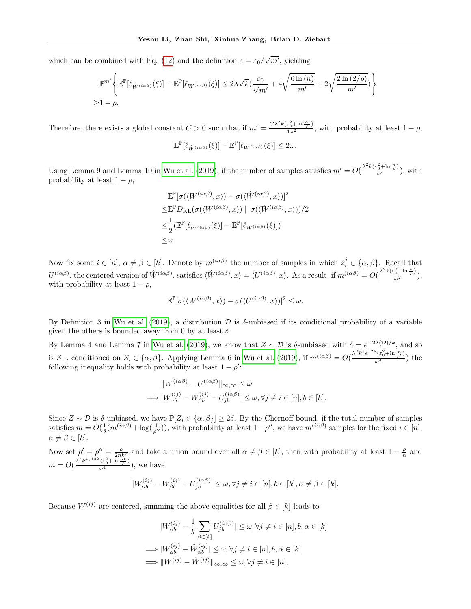which can be combined with Eq. [\(12\)](#page-17-0) and the definition  $\varepsilon = \varepsilon_0/$  $\sqrt{m'}$ , yielding

$$
\mathbb{P}^{m'}\Bigg\{\mathbb{E}^{\mathbb{P}}[\ell_{\hat{W}^{(i\alpha\beta)}}(\xi)] - \mathbb{E}^{\mathbb{P}}[\ell_{W^{(i\alpha\beta)}}(\xi)] \leq 2\lambda\sqrt{k}(\frac{\varepsilon_0}{\sqrt{m'}} + 4\sqrt{\frac{6\ln(n)}{m'}} + 2\sqrt{\frac{2\ln(2/\rho)}{m'}})\Bigg\}
$$
  
\n
$$
\geq 1 - \rho.
$$

Therefore, there exists a global constant  $C > 0$  such that if  $m' = \frac{C\lambda^2 k(\varepsilon_0^2 + \ln \frac{2n}{\rho})}{4\omega^2}$ , with probability at least  $1 - \rho$ ,

$$
\mathbb{E}^{\mathbb{P}}[\ell_{\hat{W}^{(i\alpha\beta)}}(\xi)] - \mathbb{E}^{\mathbb{P}}[\ell_{W^{(i\alpha\beta)}}(\xi)] \leq 2\omega.
$$

Using Lemma 9 and Lemma 10 in [Wu et al.](#page-10-1) [\(2019\)](#page-10-1), if the number of samples satisfies  $m' = O(\frac{\lambda^2 k (\varepsilon_0^2 + \ln \frac{n}{\rho})}{\omega^2})$ , with probability at least  $1 - \rho$ ,

$$
\mathbb{E}^{\mathbb{P}}[\sigma(\langle W^{(i\alpha\beta)}, x \rangle) - \sigma(\langle \hat{W}^{(i\alpha\beta)}, x \rangle)]^{2} \leq \mathbb{E}^{\mathbb{P}}D_{\text{KL}}(\sigma(\langle W^{(i\alpha\beta)}, x \rangle) \parallel \sigma(\langle \hat{W}^{(i\alpha\beta)}, x \rangle))/2 \leq \frac{1}{2}(\mathbb{E}^{\mathbb{P}}[\ell_{\hat{W}^{(i\alpha\beta)}}(\xi)] - \mathbb{E}^{\mathbb{P}}[\ell_{W^{(i\alpha\beta)}}(\xi)]) \leq \omega.
$$

Now fix some  $i \in [n], \alpha \neq \beta \in [k]$ . Denote by  $m^{(i\alpha\beta)}$  the number of samples in which  $\bar{z}_i^j \in {\alpha, \beta}$ . Recall that  $U^{(i\alpha\beta)}$ , the centered version of  $\hat{W}^{(i\alpha\beta)}$ , satisfies  $\langle \hat{W}^{(i\alpha\beta)}, x \rangle = \langle U^{(i\alpha\beta)}, x \rangle$ . As a result, if  $m^{(i\alpha\beta)} = O(\frac{\lambda^2 k(\varepsilon_0^2 + \ln \frac{n}{\rho})}{\omega^2})$ , with probability at least  $1 - \rho$ ,

$$
\mathbb{E}^{\mathbb{P}}[\sigma(\langle W^{(i\alpha\beta)}, x \rangle) - \sigma(\langle U^{(i\alpha\beta)}, x \rangle)]^{2} \leq \omega.
$$

By Definition 3 in [Wu et al.](#page-10-1) [\(2019\)](#page-10-1), a distribution  $\mathcal D$  is  $\delta$ -unbiased if its conditional probability of a variable given the others is bounded away from 0 by at least  $\delta$ .

By Lemma 4 and Lemma 7 in [Wu et al.](#page-10-1) [\(2019\)](#page-10-1), we know that  $Z \sim \mathcal{D}$  is δ-unbiased with  $\delta = e^{-2\lambda(\mathcal{D})/k}$ , and so is  $Z_{-i}$  conditioned on  $Z_i \in \{\alpha, \beta\}$ . Applying Lemma 6 in [Wu et al.](#page-10-1) [\(2019\)](#page-10-1), if  $m^{(i\alpha\beta)} = O(\frac{\lambda^2 k^3 e^{12\lambda} (\varepsilon_0^2 + \ln \frac{n}{\rho'})}{\omega^4})$  the following inequality holds with probability at least  $1 - \rho'$ :

$$
||W^{(i\alpha\beta)} - U^{(i\alpha\beta)}||_{\infty,\infty} \le \omega
$$
  
\n
$$
\implies |W_{\alpha b}^{(ij)} - W_{\beta b}^{(ij)} - U_{jb}^{(i\alpha\beta)}| \le \omega, \forall j \ne i \in [n], b \in [k].
$$

Since  $Z \sim \mathcal{D}$  is δ-unbiased, we have  $\mathbb{P}[Z_i \in \{\alpha, \beta\}] \geq 2\delta$ . By the Chernoff bound, if the total number of samples satisfies  $m = O(\frac{1}{\delta}(m^{(i\alpha\beta)} + \log(\frac{1}{\rho'})),$  with probability at least  $1-\rho''$ , we have  $m^{(i\alpha\beta)}$  samples for the fixed  $i \in [n],$  $\alpha \neq \beta \in [k].$ 

Now set  $\rho' = \rho'' = \frac{\rho}{2nk^2}$  and take a union bound over all  $\alpha \neq \beta \in [k]$ , then with probability at least  $1 - \frac{\rho}{n}$  and  $m = O(\frac{\lambda^2 k^4 e^{14\lambda} (\varepsilon_0^2 + \ln \frac{n k}{\rho})}{\omega^4}),$  we have

$$
|W_{\alpha b}^{(ij)} - W_{\beta b}^{(ij)} - U_{jb}^{(i\alpha\beta)}| \le \omega, \forall j \ne i \in [n], b \in [k], \alpha \ne \beta \in [k].
$$

Because  $W^{(ij)}$  are centered, summing the above equalities for all  $\beta \in [k]$  leads to

$$
|W_{\alpha b}^{(ij)} - \frac{1}{k} \sum_{\beta \in [k]} U_{jb}^{(i\alpha\beta)}| \le \omega, \forall j \ne i \in [n], b, \alpha \in [k]
$$
  
\n
$$
\implies |W_{\alpha b}^{(ij)} - \hat{W}_{\alpha b}^{(ij)}| \le \omega, \forall j \ne i \in [n], b, \alpha \in [k]
$$
  
\n
$$
\implies ||W_{\alpha b}^{(ij)} - \hat{W}_{\alpha b}^{(ij)}||_{\infty, \infty} \le \omega, \forall j \ne i \in [n],
$$